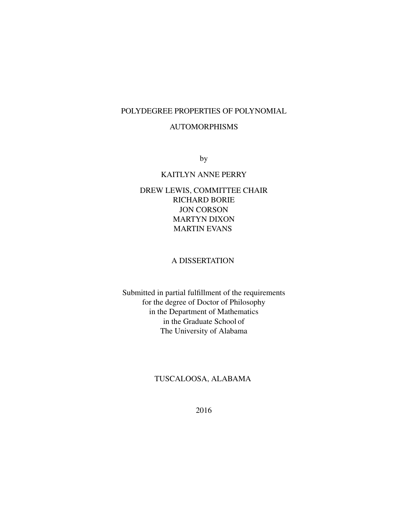## POLYDEGREE PROPERTIES OF POLYNOMIAL

### AUTOMORPHISMS

by

## KAITLYN ANNE PERRY

# DREW LEWIS, COMMITTEE CHAIR RICHARD BORIE JON CORSON MARTYN DIXON MARTIN EVANS

## A DISSERTATION

Submitted in partial fulfillment of the requirements for the degree of Doctor of Philosophy in the Department of Mathematics in the Graduate School of The University of Alabama

# TUSCALOOSA, ALABAMA

2016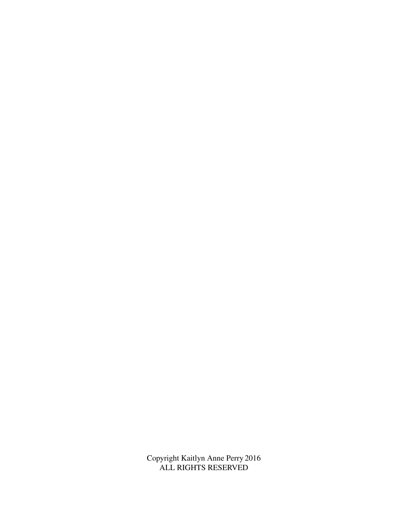Copyright Kaitlyn Anne Perry 2016 ALL RIGHTS RESERVED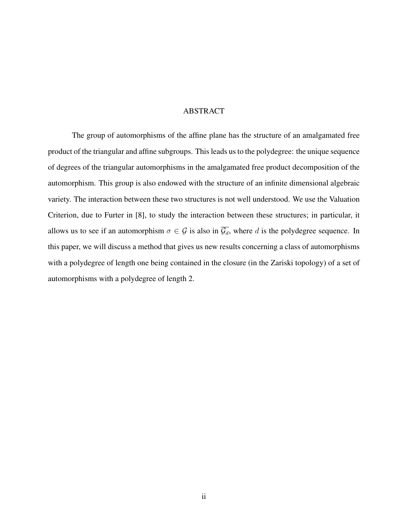#### ABSTRACT

The group of automorphisms of the affine plane has the structure of an amalgamated free product of the triangular and affine subgroups. This leads us to the polydegree: the unique sequence of degrees of the triangular automorphisms in the amalgamated free product decomposition of the automorphism. This group is also endowed with the structure of an infinite dimensional algebraic variety. The interaction between these two structures is not well understood. We use the Valuation Criterion, due to Furter in [8], to study the interaction between these structures; in particular, it allows us to see if an automorphism  $\sigma \in \mathcal{G}$  is also in  $\overline{\mathcal{G}_d}$ , where d is the polydegree sequence. In this paper, we will discuss a method that gives us new results concerning a class of automorphisms with a polydegree of length one being contained in the closure (in the Zariski topology) of a set of automorphisms with a polydegree of length 2.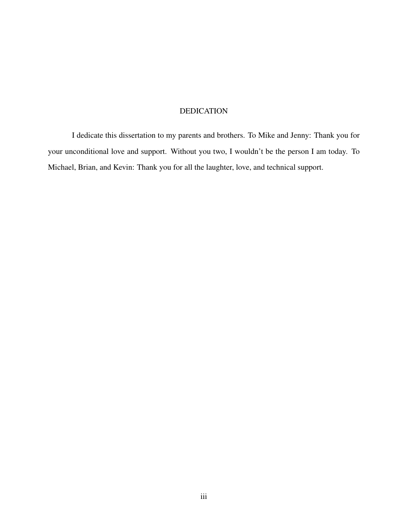# DEDICATION

I dedicate this dissertation to my parents and brothers. To Mike and Jenny: Thank you for your unconditional love and support. Without you two, I wouldn't be the person I am today. To Michael, Brian, and Kevin: Thank you for all the laughter, love, and technical support.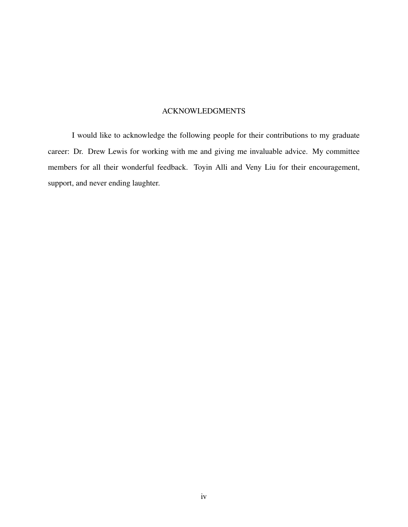## ACKNOWLEDGMENTS

I would like to acknowledge the following people for their contributions to my graduate career: Dr. Drew Lewis for working with me and giving me invaluable advice. My committee members for all their wonderful feedback. Toyin Alli and Veny Liu for their encouragement, support, and never ending laughter.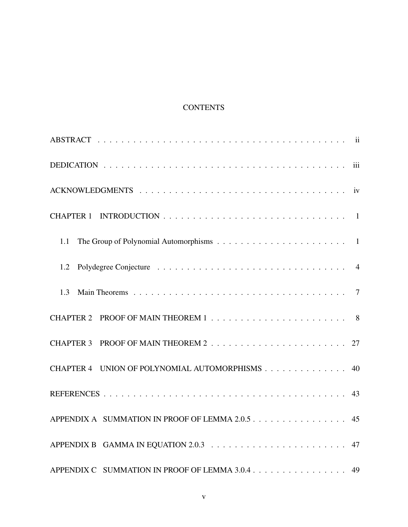# **CONTENTS**

| 1.1                                             |
|-------------------------------------------------|
| 1.2                                             |
| 1.3                                             |
|                                                 |
|                                                 |
| CHAPTER 4 UNION OF POLYNOMIAL AUTOMORPHISMS 40  |
|                                                 |
| APPENDIX A SUMMATION IN PROOF OF LEMMA 2.0.5 45 |
|                                                 |
| APPENDIX C SUMMATION IN PROOF OF LEMMA 3.0.4 49 |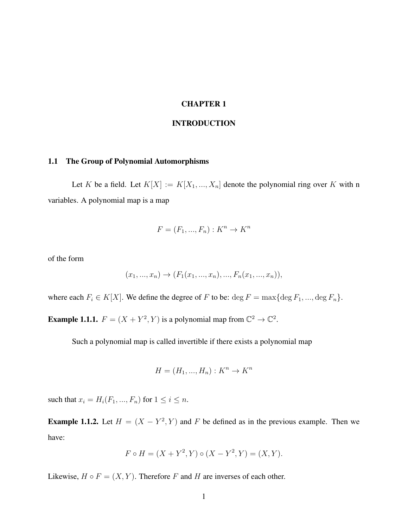### CHAPTER 1

#### INTRODUCTION

#### 1.1 The Group of Polynomial Automorphisms

Let K be a field. Let  $K[X] := K[X_1, ..., X_n]$  denote the polynomial ring over K with n variables. A polynomial map is a map

$$
F = (F_1, ..., F_n) : K^n \to K^n
$$

of the form

$$
(x_1, ..., x_n) \rightarrow (F_1(x_1, ..., x_n), ..., F_n(x_1, ..., x_n)),
$$

where each  $F_i \in K[X]$ . We define the degree of F to be:  $\deg F = \max{\deg F_1, ..., \deg F_n}$ .

**Example 1.1.1.**  $F = (X + Y^2, Y)$  is a polynomial map from  $\mathbb{C}^2 \to \mathbb{C}^2$ .

Such a polynomial map is called invertible if there exists a polynomial map

$$
H = (H_1, ..., H_n) : K^n \to K^n
$$

such that  $x_i = H_i(F_1, ..., F_n)$  for  $1 \le i \le n$ .

**Example 1.1.2.** Let  $H = (X - Y^2, Y)$  and F be defined as in the previous example. Then we have:

$$
F \circ H = (X + Y^2, Y) \circ (X - Y^2, Y) = (X, Y).
$$

Likewise,  $H \circ F = (X, Y)$ . Therefore F and H are inverses of each other.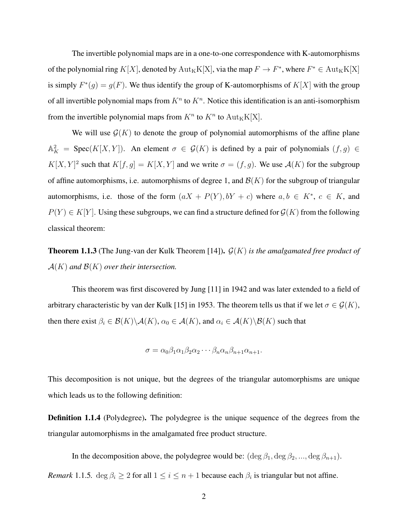The invertible polynomial maps are in a one-to-one correspondence with K-automorphisms of the polynomial ring  $K[X]$ , denoted by  ${\rm Aut}_K K[X]$ , via the map  $F \to F^*$ , where  $F^* \in {\rm Aut}_K K[X]$ is simply  $F^*(g) = g(F)$ . We thus identify the group of K-automorphisms of  $K[X]$  with the group of all invertible polynomial maps from  $K<sup>n</sup>$  to  $K<sup>n</sup>$ . Notice this identification is an anti-isomorphism from the invertible polynomial maps from  $K^n$  to  $K^n$  to  $\text{Aut}_K K[X]$ .

We will use  $G(K)$  to denote the group of polynomial automorphisms of the affine plane  $\mathbb{A}_{K}^{2}$  = Spec(K[X, Y]). An element  $\sigma \in \mathcal{G}(K)$  is defined by a pair of polynomials  $(f, g) \in$  $K[X, Y]^2$  such that  $K[f, g] = K[X, Y]$  and we write  $\sigma = (f, g)$ . We use  $\mathcal{A}(K)$  for the subgroup of affine automorphisms, i.e. automorphisms of degree 1, and  $\mathcal{B}(K)$  for the subgroup of triangular automorphisms, i.e. those of the form  $(aX + P(Y), bY + c)$  where  $a, b \in K^*$ ,  $c \in K$ , and  $P(Y) \in K[Y]$ . Using these subgroups, we can find a structure defined for  $\mathcal{G}(K)$  from the following classical theorem:

Theorem 1.1.3 (The Jung-van der Kulk Theorem [14]). G(K) *is the amalgamated free product of*  $\mathcal{A}(K)$  and  $\mathcal{B}(K)$  over their intersection.

This theorem was first discovered by Jung [11] in 1942 and was later extended to a field of arbitrary characteristic by van der Kulk [15] in 1953. The theorem tells us that if we let  $\sigma \in \mathcal{G}(K)$ , then there exist  $\beta_i \in \mathcal{B}(K) \backslash \mathcal{A}(K)$ ,  $\alpha_0 \in \mathcal{A}(K)$ , and  $\alpha_i \in \mathcal{A}(K) \backslash \mathcal{B}(K)$  such that

$$
\sigma = \alpha_0 \beta_1 \alpha_1 \beta_2 \alpha_2 \cdots \beta_n \alpha_n \beta_{n+1} \alpha_{n+1}.
$$

This decomposition is not unique, but the degrees of the triangular automorphisms are unique which leads us to the following definition:

Definition 1.1.4 (Polydegree). The polydegree is the unique sequence of the degrees from the triangular automorphisms in the amalgamated free product structure.

In the decomposition above, the polydegree would be:  $(\deg \beta_1, \deg \beta_2, ..., \deg \beta_{n+1})$ . *Remark* 1.1.5.  $\deg \beta_i \geq 2$  for all  $1 \leq i \leq n+1$  because each  $\beta_i$  is triangular but not affine.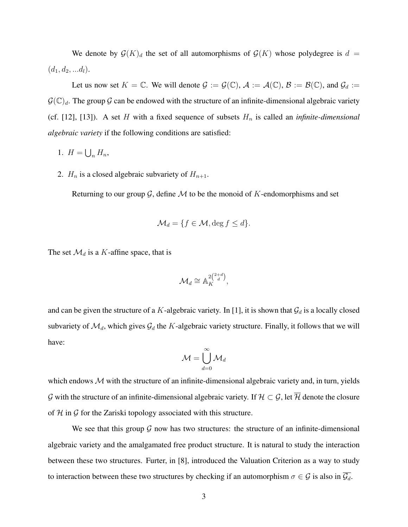We denote by  $\mathcal{G}(K)_d$  the set of all automorphisms of  $\mathcal{G}(K)$  whose polydegree is  $d =$  $(d_1, d_2, ... d_l).$ 

Let us now set  $K = \mathbb{C}$ . We will denote  $\mathcal{G} := \mathcal{G}(\mathbb{C})$ ,  $\mathcal{A} := \mathcal{A}(\mathbb{C})$ ,  $\mathcal{B} := \mathcal{B}(\mathbb{C})$ , and  $\mathcal{G}_d :=$  $\mathcal{G}(\mathbb{C})_d$ . The group G can be endowed with the structure of an infinite-dimensional algebraic variety (cf. [12], [13]). A set H with a fixed sequence of subsets  $H_n$  is called an *infinite-dimensional algebraic variety* if the following conditions are satisfied:

- 1.  $H = \bigcup_n H_n$ ,
- 2.  $H_n$  is a closed algebraic subvariety of  $H_{n+1}$ .

Returning to our group  $G$ , define  $M$  to be the monoid of K-endomorphisms and set

$$
\mathcal{M}_d = \{ f \in \mathcal{M}, \deg f \leq d \}.
$$

The set  $\mathcal{M}_d$  is a K-affine space, that is

$$
\mathcal{M}_d \cong \mathbb{A}_K^{2\binom{2+d}{d}},
$$

and can be given the structure of a K-algebraic variety. In [1], it is shown that  $\mathcal{G}_d$  is a locally closed subvariety of  $\mathcal{M}_d$ , which gives  $\mathcal{G}_d$  the K-algebraic variety structure. Finally, it follows that we will have:

$$
\mathcal{M} = \bigcup_{d=0}^\infty \mathcal{M}_d
$$

which endows  $M$  with the structure of an infinite-dimensional algebraic variety and, in turn, yields G with the structure of an infinite-dimensional algebraic variety. If  $H \subset G$ , let  $\overline{H}$  denote the closure of  $H$  in  $G$  for the Zariski topology associated with this structure.

We see that this group  $G$  now has two structures: the structure of an infinite-dimensional algebraic variety and the amalgamated free product structure. It is natural to study the interaction between these two structures. Furter, in [8], introduced the Valuation Criterion as a way to study to interaction between these two structures by checking if an automorphism  $\sigma \in \mathcal{G}$  is also in  $\overline{\mathcal{G}_d}$ .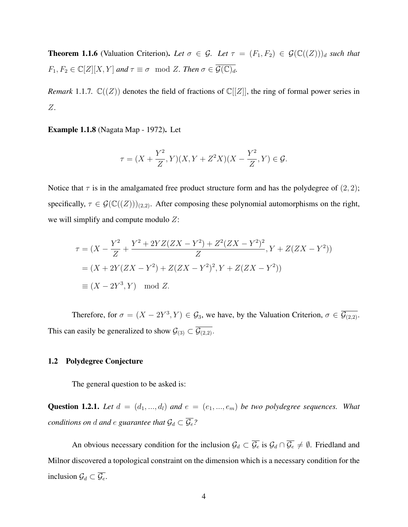**Theorem 1.1.6** (Valuation Criterion). Let  $\sigma \in \mathcal{G}$ . Let  $\tau = (F_1, F_2) \in \mathcal{G}(\mathbb{C}((Z)))_d$  such that  $F_1, F_2 \in \mathbb{C}[Z][X, Y]$  *and*  $\tau \equiv \sigma \mod Z$ *. Then*  $\sigma \in \overline{\mathcal{G}(\mathbb{C})_d}$ *.* 

*Remark* 1.1.7.  $\mathbb{C}((Z))$  denotes the field of fractions of  $\mathbb{C}[[Z]]$ , the ring of formal power series in Z.

Example 1.1.8 (Nagata Map - 1972). Let

$$
\tau = (X + \frac{Y^2}{Z}, Y)(X, Y + Z^2X)(X - \frac{Y^2}{Z}, Y) \in \mathcal{G}.
$$

Notice that  $\tau$  is in the amalgamated free product structure form and has the polydegree of  $(2, 2)$ ; specifically,  $\tau \in \mathcal{G}(\mathbb{C}((Z)))_{(2,2)}$ . After composing these polynomial automorphisms on the right, we will simplify and compute modulo  $Z$ :

$$
\tau = (X - \frac{Y^2}{Z} + \frac{Y^2 + 2YZ(ZX - Y^2) + Z^2(ZX - Y^2)^2}{Z}, Y + Z(ZX - Y^2))
$$
  
=  $(X + 2Y(ZX - Y^2) + Z(ZX - Y^2)^2, Y + Z(ZX - Y^2))$   
 $\equiv (X - 2Y^3, Y) \mod Z.$ 

Therefore, for  $\sigma = (X - 2Y^3, Y) \in \mathcal{G}_3$ , we have, by the Valuation Criterion,  $\sigma \in \overline{\mathcal{G}}_{(2,2)}$ . This can easily be generalized to show  $\mathcal{G}_{(3)} \subset \overline{\mathcal{G}_{(2,2)}}$ .

### 1.2 Polydegree Conjecture

The general question to be asked is:

**Question 1.2.1.** Let  $d = (d_1, ..., d_l)$  and  $e = (e_1, ..., e_m)$  be two polydegree sequences. What *conditions on d and e guarantee that*  $\mathcal{G}_d \subset \overline{\mathcal{G}_e}$ ?

An obvious necessary condition for the inclusion  $\mathcal{G}_d \subset \overline{\mathcal{G}_e}$  is  $\mathcal{G}_d \cap \overline{\mathcal{G}_e} \neq \emptyset$ . Friedland and Milnor discovered a topological constraint on the dimension which is a necessary condition for the inclusion  $\mathcal{G}_d \subset \overline{\mathcal{G}_e}$ .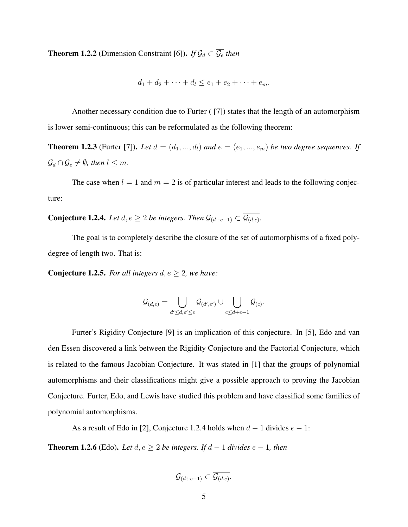**Theorem 1.2.2** (Dimension Constraint [6]). *If*  $\mathcal{G}_d \subset \overline{\mathcal{G}_e}$  *then* 

$$
d_1 + d_2 + \cdots + d_l \leq e_1 + e_2 + \cdots + e_m.
$$

Another necessary condition due to Furter ( [7]) states that the length of an automorphism is lower semi-continuous; this can be reformulated as the following theorem:

**Theorem 1.2.3** (Furter [7]). Let  $d = (d_1, ..., d_l)$  and  $e = (e_1, ..., e_m)$  be two degree sequences. If  $\mathcal{G}_d \cap \overline{\mathcal{G}_e} \neq \emptyset$ , then  $l \leq m$ .

The case when  $l = 1$  and  $m = 2$  is of particular interest and leads to the following conjecture:

**Conjecture 1.2.4.** *Let*  $d, e ≥ 2$  *be integers. Then*  $\mathcal{G}_{(d+e-1)} ⊂ \mathcal{G}_{(d,e)}$ *.* 

The goal is to completely describe the closure of the set of automorphisms of a fixed polydegree of length two. That is:

**Conjecture 1.2.5.** *For all integers*  $d, e \geq 2$ *, we have:* 

$$
\overline{\mathcal{G}_{(d,e)}}=\bigcup_{d'\leq d,e'\leq e}\mathcal{G}_{(d',e')}\cup\bigcup_{c\leq d+e-1}\mathcal{G}_{(c)}.
$$

Furter's Rigidity Conjecture [9] is an implication of this conjecture. In [5], Edo and van den Essen discovered a link between the Rigidity Conjecture and the Factorial Conjecture, which is related to the famous Jacobian Conjecture. It was stated in [1] that the groups of polynomial automorphisms and their classifications might give a possible approach to proving the Jacobian Conjecture. Furter, Edo, and Lewis have studied this problem and have classified some families of polynomial automorphisms.

As a result of Edo in [2], Conjecture 1.2.4 holds when  $d-1$  divides  $e-1$ :

**Theorem 1.2.6** (Edo). *Let*  $d, e ≥ 2$  *be integers. If*  $d − 1$  *divides*  $e − 1$ *, then* 

$$
\mathcal{G}_{(d+e-1)} \subset \overline{\mathcal{G}_{(d,e)}}.
$$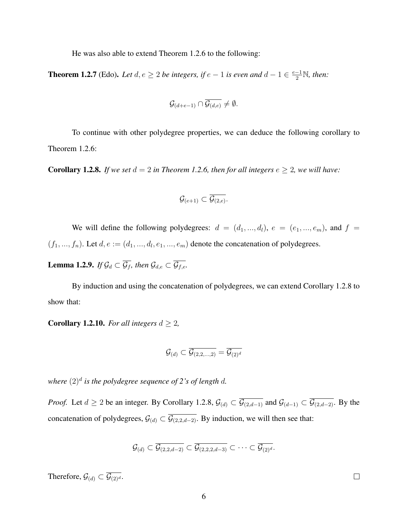He was also able to extend Theorem 1.2.6 to the following:

**Theorem 1.2.7** (Edo). Let  $d, e \geq 2$  be integers, if  $e - 1$  is even and  $d - 1 \in \frac{e - 1}{2} \mathbb{N}$ , then:

$$
\mathcal{G}_{(d+e-1)}\cap \overline{\mathcal{G}_{(d,e)}}\neq \emptyset.
$$

To continue with other polydegree properties, we can deduce the following corollary to Theorem 1.2.6:

**Corollary 1.2.8.** *If we set*  $d = 2$  *in Theorem 1.2.6, then for all integers*  $e \geq 2$ *, we will have:* 

$$
\mathcal{G}_{(e+1)} \subset \overline{\mathcal{G}_{(2,e)}}.
$$

We will define the following polydegrees:  $d = (d_1, ..., d_l)$ ,  $e = (e_1, ..., e_m)$ , and  $f =$  $(f_1, ..., f_n)$ . Let  $d, e := (d_1, ..., d_l, e_1, ..., e_m)$  denote the concatenation of polydegrees.

**Lemma 1.2.9.** *If*  $\mathcal{G}_d \subset \overline{\mathcal{G}_f}$ *, then*  $\mathcal{G}_{d,e} \subset \overline{\mathcal{G}_{f,e}}$ *.* 

By induction and using the concatenation of polydegrees, we can extend Corollary 1.2.8 to show that:

**Corollary 1.2.10.** *For all integers*  $d \geq 2$ *,* 

$$
\mathcal{G}_{(d)} \subset \overline{\mathcal{G}_{(2,2,...,2)}} = \overline{\mathcal{G}_{(2)^d}}
$$

where  $(2)^d$  is the polydegree sequence of 2's of length  $d$ .

*Proof.* Let  $d \ge 2$  be an integer. By Corollary 1.2.8,  $\mathcal{G}_{(d)} \subset \overline{\mathcal{G}_{(2,d-1)}}$  and  $\mathcal{G}_{(d-1)} \subset \overline{\mathcal{G}_{(2,d-2)}}$ . By the concatenation of polydegrees,  $\mathcal{G}_{(d)} \subset \overline{\mathcal{G}_{(2,2,d-2)}}$ . By induction, we will then see that:

$$
\mathcal{G}_{(d)} \subset \overline{\mathcal{G}_{(2,2,d-2)}} \subset \overline{\mathcal{G}_{(2,2,2,d-3)}} \subset \cdots \subset \overline{\mathcal{G}_{(2)^d}}.
$$

Therefore,  $\mathcal{G}_{(d)} \subset \overline{\mathcal{G}_{(2)^d}}$ .

 $\Box$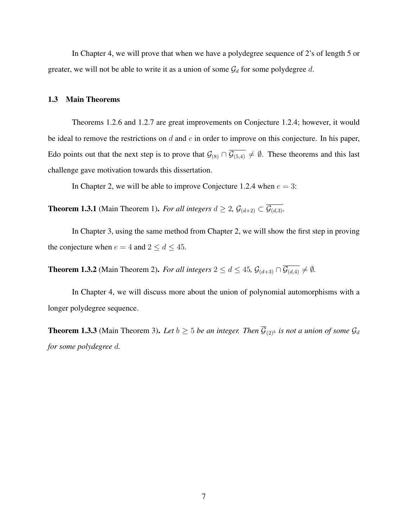In Chapter 4, we will prove that when we have a polydegree sequence of 2's of length 5 or greater, we will not be able to write it as a union of some  $\mathcal{G}_d$  for some polydegree d.

#### 1.3 Main Theorems

Theorems 1.2.6 and 1.2.7 are great improvements on Conjecture 1.2.4; however, it would be ideal to remove the restrictions on  $d$  and  $e$  in order to improve on this conjecture. In his paper, Edo points out that the next step is to prove that  $\mathcal{G}_{(8)} \cap \overline{\mathcal{G}_{(5,4)}} \neq \emptyset$ . These theorems and this last challenge gave motivation towards this dissertation.

In Chapter 2, we will be able to improve Conjecture 1.2.4 when  $e = 3$ :

**Theorem 1.3.1** (Main Theorem 1). *For all integers*  $d \geq 2$ ,  $\mathcal{G}_{(d+2)} \subset \overline{\mathcal{G}_{(d,3)}}$ .

In Chapter 3, using the same method from Chapter 2, we will show the first step in proving the conjecture when  $e = 4$  and  $2 \le d \le 45$ .

**Theorem 1.3.2** (Main Theorem 2). *For all integers*  $2 \le d \le 45$ ,  $\mathcal{G}_{(d+3)} \cap \overline{\mathcal{G}_{(d,4)}} \neq \emptyset$ .

In Chapter 4, we will discuss more about the union of polynomial automorphisms with a longer polydegree sequence.

**Theorem 1.3.3** (Main Theorem 3). Let  $b \ge 5$  *be an integer. Then*  $\overline{\mathcal{G}}_{(2)^b}$  *is not a union of some*  $\mathcal{G}_d$ *for some polydegree* d*.*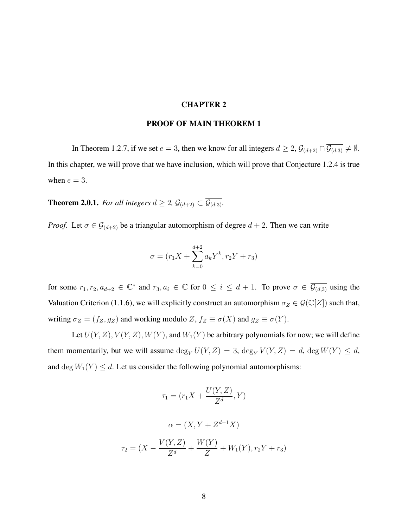#### CHAPTER 2

#### PROOF OF MAIN THEOREM 1

In Theorem 1.2.7, if we set  $e = 3$ , then we know for all integers  $d \geq 2$ ,  $\mathcal{G}_{(d+2)} \cap \overline{\mathcal{G}_{(d,3)}} \neq \emptyset$ . In this chapter, we will prove that we have inclusion, which will prove that Conjecture 1.2.4 is true when  $e = 3$ .

**Theorem 2.0.1.** *For all integers*  $d \geq 2$ ,  $\mathcal{G}_{(d+2)} \subset \overline{\mathcal{G}_{(d,3)}}$ *.* 

*Proof.* Let  $\sigma \in \mathcal{G}_{(d+2)}$  be a triangular automorphism of degree  $d+2$ . Then we can write

$$
\sigma = (r_1 X + \sum_{k=0}^{d+2} a_k Y^k, r_2 Y + r_3)
$$

for some  $r_1, r_2, a_{d+2} \in \mathbb{C}^*$  and  $r_3, a_i \in \mathbb{C}$  for  $0 \le i \le d+1$ . To prove  $\sigma \in \overline{\mathcal{G}_{(d,3)}}$  using the Valuation Criterion (1.1.6), we will explicitly construct an automorphism  $\sigma_Z \in \mathcal{G}(\mathbb{C}[Z])$  such that, writing  $\sigma_Z = (f_Z, g_Z)$  and working modulo  $Z, f_Z \equiv \sigma(X)$  and  $g_Z \equiv \sigma(Y)$ .

Let  $U(Y, Z), V(Y, Z), W(Y)$ , and  $W_1(Y)$  be arbitrary polynomials for now; we will define them momentarily, but we will assume  $\deg_Y U(Y, Z) = 3$ ,  $\deg_Y V(Y, Z) = d$ ,  $\deg W(Y) \leq d$ , and deg  $W_1(Y) \le d$ . Let us consider the following polynomial automorphisms:

$$
\tau_1 = (r_1 X + \frac{U(Y, Z)}{Z^d}, Y)
$$

$$
\alpha = (X, Y + Z^{d+1} X)
$$

$$
\tau_2 = (X - \frac{V(Y, Z)}{Z^d} + \frac{W(Y)}{Z} + W_1(Y), r_2 Y + r_3)
$$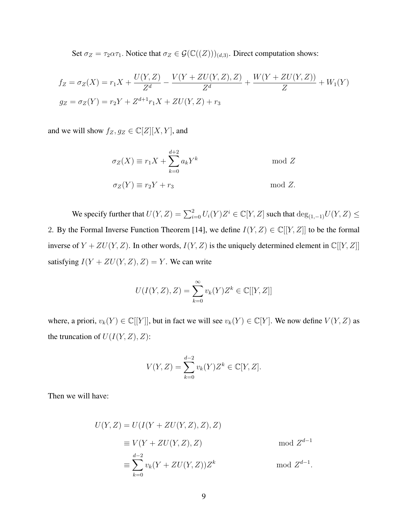Set  $\sigma_Z = \tau_2 \alpha \tau_1$ . Notice that  $\sigma_Z \in \mathcal{G}(\mathbb{C}((Z)))_{(d,3)}$ . Direct computation shows:

$$
f_Z = \sigma_Z(X) = r_1 X + \frac{U(Y, Z)}{Z^d} - \frac{V(Y + ZU(Y, Z), Z)}{Z^d} + \frac{W(Y + ZU(Y, Z))}{Z} + W_1(Y)
$$
  
\n
$$
g_Z = \sigma_Z(Y) = r_2 Y + Z^{d+1} r_1 X + ZU(Y, Z) + r_3
$$

and we will show  $f_Z, g_Z \in \mathbb{C}[Z][X, Y]$ , and

$$
\sigma_Z(X) \equiv r_1 X + \sum_{k=0}^{d+2} a_k Y^k \quad \text{mod } Z
$$
  

$$
\sigma_Z(Y) \equiv r_2 Y + r_3 \quad \text{mod } Z.
$$

We specify further that  $U(Y, Z) = \sum_{i=0}^{2} U_i(Y) Z^i \in \mathbb{C}[Y, Z]$  such that  $\deg_{(1, -1)} U(Y, Z) \leq$ 2. By the Formal Inverse Function Theorem [14], we define  $I(Y, Z) \in \mathbb{C}[[Y, Z]]$  to be the formal inverse of  $Y + ZU(Y, Z)$ . In other words,  $I(Y, Z)$  is the uniquely determined element in  $\mathbb{C}[[Y, Z]]$ satisfying  $I(Y + ZU(Y, Z), Z) = Y$ . We can write

$$
U(I(Y, Z), Z) = \sum_{k=0}^{\infty} v_k(Y) Z^k \in \mathbb{C}[[Y, Z]]
$$

where, a priori,  $v_k(Y) \in \mathbb{C}[[Y]]$ , but in fact we will see  $v_k(Y) \in \mathbb{C}[Y]$ . We now define  $V(Y, Z)$  as the truncation of  $U(I(Y, Z), Z)$ :

$$
V(Y, Z) = \sum_{k=0}^{d-2} v_k(Y) Z^k \in \mathbb{C}[Y, Z].
$$

Then we will have:

$$
U(Y, Z) = U(I(Y + ZU(Y, Z), Z), Z)
$$
  
\n
$$
\equiv V(Y + ZU(Y, Z), Z) \quad \text{mod } Z^{d-1}
$$
  
\n
$$
\equiv \sum_{k=0}^{d-2} v_k(Y + ZU(Y, Z))Z^k \quad \text{mod } Z^{d-1}.
$$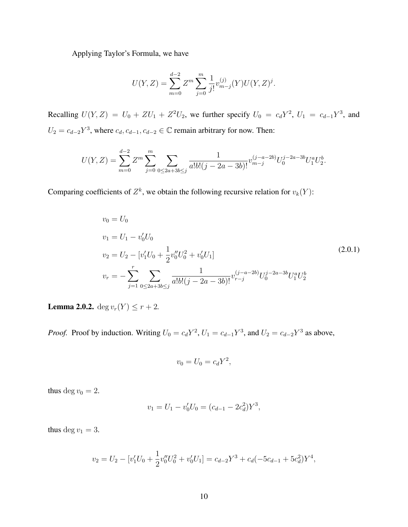Applying Taylor's Formula, we have

$$
U(Y, Z) = \sum_{m=0}^{d-2} Z^m \sum_{j=0}^m \frac{1}{j!} v_{m-j}^{(j)}(Y) U(Y, Z)^j.
$$

Recalling  $U(Y, Z) = U_0 + ZU_1 + Z^2U_2$ , we further specify  $U_0 = c_d Y^2$ ,  $U_1 = c_{d-1} Y^3$ , and  $U_2 = c_{d-2}Y^3$ , where  $c_d, c_{d-1}, c_{d-2} \in \mathbb{C}$  remain arbitrary for now. Then:

$$
U(Y,Z) = \sum_{m=0}^{d-2} Z^m \sum_{j=0}^m \sum_{0 \le 2a+3b \le j} \frac{1}{a!b!(j-2a-3b)!} v_{m-j}^{(j-a-2b)} U_0^{j-2a-3b} U_1^a U_2^b.
$$

Comparing coefficients of  $Z^k$ , we obtain the following recursive relation for  $v_k(Y)$ :

$$
v_0 = U_0
$$
  
\n
$$
v_1 = U_1 - v'_0 U_0
$$
  
\n
$$
v_2 = U_2 - [v'_1 U_0 + \frac{1}{2} v''_0 U_0^2 + v'_0 U_1]
$$
  
\n
$$
v_r = -\sum_{j=1}^r \sum_{0 \le 2a+3b \le j} \frac{1}{a! b! (j - 2a - 3b)!} v_{r-j}^{(j-a-2b)} U_0^{j-2a-3b} U_1^a U_2^b
$$
\n(2.0.1)

**Lemma 2.0.2.** deg  $v_r(Y) \leq r + 2$ .

*Proof.* Proof by induction. Writing  $U_0 = c_d Y^2$ ,  $U_1 = c_{d-1} Y^3$ , and  $U_2 = c_{d-2} Y^3$  as above,

$$
v_0 = U_0 = c_d Y^2,
$$

thus deg  $v_0 = 2$ .

$$
v_1 = U_1 - v'_0 U_0 = (c_{d-1} - 2c_d^2)Y^3,
$$

thus deg  $v_1 = 3$ .

$$
v_2 = U_2 - [v'_1 U_0 + \frac{1}{2} v''_0 U_0^2 + v'_0 U_1] = c_{d-2} Y^3 + c_d (-5c_{d-1} + 5c_d^2) Y^4,
$$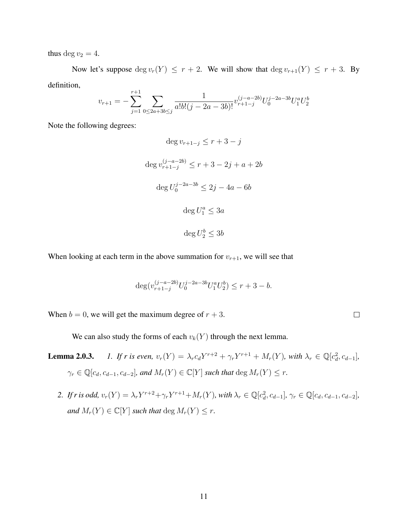thus deg  $v_2 = 4$ .

Now let's suppose  $\deg v_r(Y) \leq r + 2$ . We will show that  $\deg v_{r+1}(Y) \leq r + 3$ . By definition,

$$
v_{r+1} = -\sum_{j=1}^{r+1} \sum_{0 \le 2a+3b \le j} \frac{1}{a!b!(j-2a-3b)!} v_{r+1-j}^{(j-a-2b)} U_0^{j-2a-3b} U_1^a U_2^b
$$

Note the following degrees:

$$
\deg v_{r+1-j} \le r+3-j
$$
  

$$
\deg v_{r+1-j}^{(j-a-2b)} \le r+3-2j+a+2b
$$
  

$$
\deg U_0^{j-2a-3b} \le 2j-4a-6b
$$
  

$$
\deg U_1^a \le 3a
$$
  

$$
\deg U_2^b \le 3b
$$

When looking at each term in the above summation for  $v_{r+1}$ , we will see that

$$
\deg(v_{r+1-j}^{(j-a-2b)}U_0^{j-2a-3b}U_1^aU_2^b) \le r+3-b.
$$

 $\Box$ 

When  $b = 0$ , we will get the maximum degree of  $r + 3$ .

We can also study the forms of each  $v_k(Y)$  through the next lemma.

- **Lemma 2.0.3.** *1. If r is even,*  $v_r(Y) = \lambda_r c_d Y^{r+2} + \gamma_r Y^{r+1} + M_r(Y)$ *, with*  $\lambda_r \in \mathbb{Q}[c_d^2, c_{d-1}]$ *,*  $\gamma_r \in \mathbb{Q}[c_d, c_{d-1}, c_{d-2}]$ , and  $M_r(Y) \in \mathbb{C}[Y]$  such that  $\deg M_r(Y) \leq r$ .
	- 2. If r is odd,  $v_r(Y) = \lambda_r Y^{r+2} + \gamma_r Y^{r+1} + M_r(Y)$ , with  $\lambda_r \in \mathbb{Q}[c_d^2, c_{d-1}]$ ,  $\gamma_r \in \mathbb{Q}[c_d, c_{d-1}, c_{d-2}]$ , *and*  $M_r(Y) \in \mathbb{C}[Y]$  *such that* deg  $M_r(Y) \leq r$ .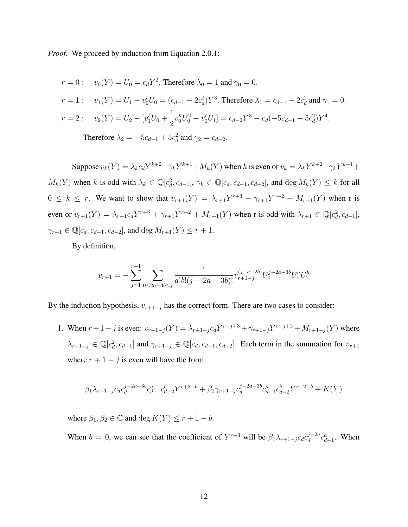*Proof.* We proceed by induction from Equation 2.0.1:

$$
r = 0: \t v_0(Y) = U_0 = c_d Y^2. \text{ Therefore } \lambda_0 = 1 \text{ and } \gamma_0 = 0.
$$
  
\n
$$
r = 1: \t v_1(Y) = U_1 - v'_0 U_0 = (c_{d-1} - 2c_d^2) Y^3. \text{ Therefore } \lambda_1 = c_{d-1} - 2c_d^2 \text{ and } \gamma_1 = 0.
$$
  
\n
$$
r = 2: \t v_2(Y) = U_2 - [v'_1 U_0 + \frac{1}{2} v''_0 U_0^2 + v'_0 U_1] = c_{d-2} Y^3 + c_d (-5c_{d-1} + 5c_d^2) Y^4.
$$
  
\nTherefore  $\lambda_2 = -5c_{d-1} + 5c_d^2$  and  $\gamma_2 = c_{d-2}$ .

Suppose  $v_k(Y) = \lambda_k c_d Y^{k+2} + \gamma_k Y^{k+1} + M_k(Y)$  when k is even or  $v_k = \lambda_k Y^{k+2} + \gamma_k Y^{k+1} +$  $M_k(Y)$  when k is odd with  $\lambda_k \in \mathbb{Q}[c_d^2, c_{d-1}], \gamma_k \in \mathbb{Q}[c_d, c_{d-1}, c_{d-2}]$ , and  $\deg M_k(Y) \leq k$  for all  $0 \leq k \leq r$ . We want to show that  $v_{r+1}(Y) = \lambda_{r+1}Y^{r+3} + \gamma_{r+1}Y^{r+2} + M_{r+1}(Y)$  when r is even or  $v_{r+1}(Y) = \lambda_{r+1} c_d Y^{r+3} + \gamma_{r+1} Y^{r+2} + M_{r+1}(Y)$  when r is odd with  $\lambda_{r+1} \in \mathbb{Q}[c_d^2, c_{d-1}]$ ,  $\gamma_{r+1} \in \mathbb{Q}[c_d, c_{d-1}, c_{d-2}],$  and  $\deg M_{r+1}(Y) \leq r+1.$ 

By definition,

$$
v_{r+1} = -\sum_{j=1}^{r+1} \sum_{0 \le 2a+3b \le j} \frac{1}{a!b!(j-2a-3b)!} v_{r+1-j}^{(j-a-2b)} U_0^{j-2a-3b} U_1^a U_2^b
$$

By the induction hypothesis,  $v_{r+1-j}$  has the correct form. There are two cases to consider:

1. When  $r + 1 - j$  is even:  $v_{r+1-j}(Y) = \lambda_{r+1-j} c_d Y^{r-j+3} + \gamma_{r+1-j} Y^{r-j+2} + M_{r+1-j}(Y)$  where  $\lambda_{r+1-j} \in \mathbb{Q}[c_d^2, c_{d-1}]$  and  $\gamma_{r+1-j} \in \mathbb{Q}[c_d, c_{d-1}, c_{d-2}]$ . Each term in the summation for  $v_{r+1}$ where  $r + 1 - j$  is even will have the form

$$
\beta_1\lambda_{r+1-j}c_d c_d^{j-2a-3b}c_{d-1}^a c_{d-2}^b Y^{r+3-b} + \beta_2\gamma_{r+1-j}c_d^{j-2a-3b}c_{d-1}^a c_{d-2}^b Y^{r+2-b} + K(Y)
$$

where  $\beta_1, \beta_2 \in \mathbb{C}$  and deg  $K(Y) \leq r + 1 - b$ .

When  $b = 0$ , we can see that the coefficient of  $Y^{r+3}$  will be  $\beta_1 \lambda_{r+1-j} c_d c_d^{j-2a}$  $\int_{d}^{j-2a} c_{d-1}^{a}$ . When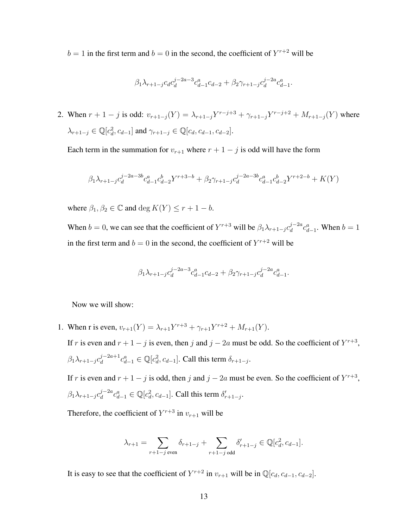$b = 1$  in the first term and  $b = 0$  in the second, the coefficient of  $Y^{r+2}$  will be

$$
\beta_1 \lambda_{r+1-j} c_d c_d^{j-2a-3} c_{d-1}^a c_{d-2} + \beta_2 \gamma_{r+1-j} c_d^{j-2a} c_{d-1}^a.
$$

2. When  $r + 1 - j$  is odd:  $v_{r+1-j}(Y) = \lambda_{r+1-j} Y^{r-j+3} + \gamma_{r+1-j} Y^{r-j+2} + M_{r+1-j}(Y)$  where  $\lambda_{r+1-j} \in \mathbb{Q}[c_d^2, c_{d-1}]$  and  $\gamma_{r+1-j} \in \mathbb{Q}[c_d, c_{d-1}, c_{d-2}].$ 

Each term in the summation for  $v_{r+1}$  where  $r + 1 - j$  is odd will have the form

$$
\beta_1 \lambda_{r+1-j} c_d^{j-2a-3b} c_{d-1}^a c_{d-2}^b Y^{r+3-b} + \beta_2 \gamma_{r+1-j} c_d^{j-2a-3b} c_{d-1}^a c_{d-2}^b Y^{r+2-b} + K(Y)
$$

where  $\beta_1, \beta_2 \in \mathbb{C}$  and deg  $K(Y) \leq r + 1 - b$ .

When  $b = 0$ , we can see that the coefficient of  $Y^{r+3}$  will be  $\beta_1 \lambda_{r+1-j} c_d^{j-2a}$  $\int_{d}^{j-2a} c_{d-1}^{a}$ . When  $b=1$ in the first term and  $b = 0$  in the second, the coefficient of  $Y^{r+2}$  will be

$$
\beta_1 \lambda_{r+1-j} c_d^{j-2a-3} c_{d-1}^a c_{d-2} + \beta_2 \gamma_{r+1-j} c_d^{j-2a} c_{d-1}^a.
$$

Now we will show:

1. When r is even,  $v_{r+1}(Y) = \lambda_{r+1} Y^{r+3} + \gamma_{r+1} Y^{r+2} + M_{r+1}(Y)$ .

If r is even and  $r + 1 - j$  is even, then j and  $j - 2a$  must be odd. So the coefficient of  $Y^{r+3}$ ,  $\beta_1\lambda_{r+1-j}c_d^{j-2a+1}$  $\delta_d^{j-2a+1} c_{d-1}^a \in \mathbb{Q}[c_d^2, c_{d-1}]$ . Call this term  $\delta_{r+1-j}$ .

If r is even and  $r + 1 - j$  is odd, then j and  $j - 2a$  must be even. So the coefficient of  $Y^{r+3}$ ,  $\beta_1\lambda_{r+1-j}c_d^{j-2a}$  $d_d^{j-2a}c_{d-1}^a \in \mathbb{Q}[c_d^2, c_{d-1}]$ . Call this term  $\delta'_{r+1-j}$ .

Therefore, the coefficient of  $Y^{r+3}$  in  $v_{r+1}$  will be

$$
\lambda_{r+1} = \sum_{r+1-j \text{ even}} \delta_{r+1-j} + \sum_{r+1-j \text{ odd}} \delta'_{r+1-j} \in \mathbb{Q}[c_d^2, c_{d-1}].
$$

It is easy to see that the coefficient of  $Y^{r+2}$  in  $v_{r+1}$  will be in  $\mathbb{Q}[c_d, c_{d-1}, c_{d-2}]$ .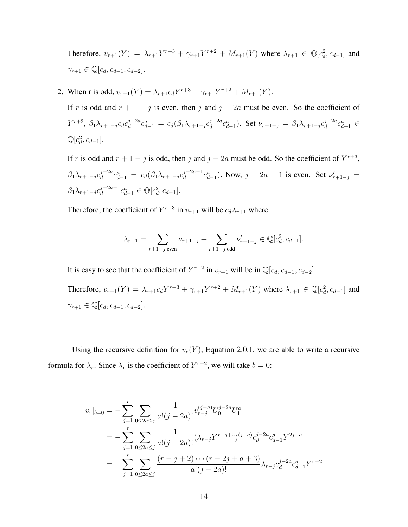Therefore,  $v_{r+1}(Y) = \lambda_{r+1} Y^{r+3} + \gamma_{r+1} Y^{r+2} + M_{r+1}(Y)$  where  $\lambda_{r+1} \in \mathbb{Q}[c_d^2, c_{d-1}]$  and  $\gamma_{r+1} \in \mathbb{Q}[c_d, c_{d-1}, c_{d-2}].$ 

2. When r is odd,  $v_{r+1}(Y) = \lambda_{r+1} c_d Y^{r+3} + \gamma_{r+1} Y^{r+2} + M_{r+1}(Y)$ .

If r is odd and  $r + 1 - j$  is even, then j and  $j - 2a$  must be even. So the coefficient of  $Y^{r+3}$ ,  $\beta_1 \lambda_{r+1-j} c_d c_d^{j-2a}$  $d_d^{j-2a}c_{d-1}^a = c_d(\beta_1\lambda_{r+1-j}c_d^{j-2a})$  $\int_{d}^{j-2a} c_{d-1}^{a}$ ). Set  $\nu_{r+1-j} = \beta_1 \lambda_{r+1-j} c_d^{j-2a}$  $d^{j-2a}c_{d-1}^a \in$  $\mathbb{Q}[c_d^2, c_{d-1}].$ 

If r is odd and  $r + 1 - j$  is odd, then j and  $j - 2a$  must be odd. So the coefficient of  $Y^{r+3}$ ,  $\beta_1\lambda_{r+1-j}c_d^{j-2a}$  $d_d^{j-2a}c_{d-1}^a = c_d(\beta_1\lambda_{r+1-j}c_d^{j-2a-1})$  $\int_{d}^{j-2a-1} c_{d-1}^{a}$ ). Now,  $j-2a-1$  is even. Set  $\nu'_{r+1-j} =$  $\beta_1\lambda_{r+1-j}c_d^{j-2a-1}$  $\int_{d}^{j-2a-1} c_{d-1}^{a} \in \mathbb{Q}[c_d^2, c_{d-1}].$ 

Therefore, the coefficient of  $Y^{r+3}$  in  $v_{r+1}$  will be  $c_d \lambda_{r+1}$  where

$$
\lambda_{r+1} = \sum_{r+1-j \text{ even}} \nu_{r+1-j} + \sum_{r+1-j \text{ odd}} \nu'_{r+1-j} \in \mathbb{Q}[c_d^2, c_{d-1}].
$$

It is easy to see that the coefficient of  $Y^{r+2}$  in  $v_{r+1}$  will be in  $\mathbb{Q}[c_d, c_{d-1}, c_{d-2}]$ .

Therefore,  $v_{r+1}(Y) = \lambda_{r+1}c_dY^{r+3} + \gamma_{r+1}Y^{r+2} + M_{r+1}(Y)$  where  $\lambda_{r+1} \in \mathbb{Q}[c_d^2, c_{d-1}]$  and  $\gamma_{r+1} \in \mathbb{Q}[c_d, c_{d-1}, c_{d-2}].$ 

Using the recursive definition for  $v_r(Y)$ , Equation 2.0.1, we are able to write a recursive formula for  $\lambda_r$ . Since  $\lambda_r$  is the coefficient of  $Y^{r+2}$ , we will take  $b = 0$ :

$$
v_r|_{b=0} = -\sum_{j=1}^r \sum_{0 \le 2a \le j} \frac{1}{a!(j-2a)!} v_{r-j}^{(j-a)} U_0^{j-2a} U_1^a
$$
  
= 
$$
-\sum_{j=1}^r \sum_{0 \le 2a \le j} \frac{1}{a!(j-2a)!} (\lambda_{r-j} Y^{r-j+2})^{(j-a)} c_d^{j-2a} c_{d-1}^a Y^{2j-a}
$$
  
= 
$$
-\sum_{j=1}^r \sum_{0 \le 2a \le j} \frac{(r-j+2) \cdots (r-2j+a+3)}{a!(j-2a)!} \lambda_{r-j} c_d^{j-2a} c_{d-1}^a Y^{r+2}
$$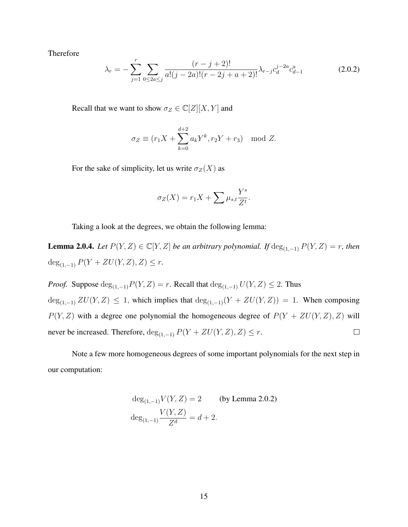Therefore

$$
\lambda_r = -\sum_{j=1}^r \sum_{0 \le 2a \le j} \frac{(r-j+2)!}{a!(j-2a)!(r-2j+a+2)!} \lambda_{r-j} c_d^{j-2a} c_{d-1}^a \tag{2.0.2}
$$

Recall that we want to show  $\sigma_Z \in \mathbb{C}[Z][X, Y]$  and

$$
\sigma_Z \equiv (r_1 X + \sum_{k=0}^{d+2} a_k Y^k, r_2 Y + r_3) \mod Z.
$$

For the sake of simplicity, let us write  $\sigma_Z(X)$  as

$$
\sigma_Z(X) = r_1 X + \sum \mu_{s,t} \frac{Y^s}{Z^t}.
$$

Taking a look at the degrees, we obtain the following lemma:

**Lemma 2.0.4.** *Let*  $P(Y, Z) \in \mathbb{C}[Y, Z]$  *be an arbitrary polynomial. If* deg<sub>(1,−1)</sub>  $P(Y, Z) = r$ *, then* deg<sub>(1,-1)</sub>  $P(Y + ZU(Y, Z), Z) \leq r$ .

*Proof.* Suppose  $\deg_{(1,-1)}P(Y,Z) = r$ . Recall that  $\deg_{(1,-1)}U(Y,Z) \leq 2$ . Thus  $\deg_{(1,-1)} ZU(Y,Z) \leq 1$ , which implies that  $\deg_{(1,-1)}(Y + ZU(Y,Z)) = 1$ . When composing  $P(Y, Z)$  with a degree one polynomial the homogeneous degree of  $P(Y + ZU(Y, Z), Z)$  will never be increased. Therefore,  $\deg_{(1,-1)} P(Y + ZU(Y,Z), Z) \leq r$ .  $\Box$ 

Note a few more homogeneous degrees of some important polynomials for the next step in our computation:

$$
\deg_{(1,-1)} V(Y,Z) = 2 \qquad \text{(by Lemma 2.0.2)}
$$

$$
\deg_{(1,-1)} \frac{V(Y,Z)}{Z^d} = d + 2.
$$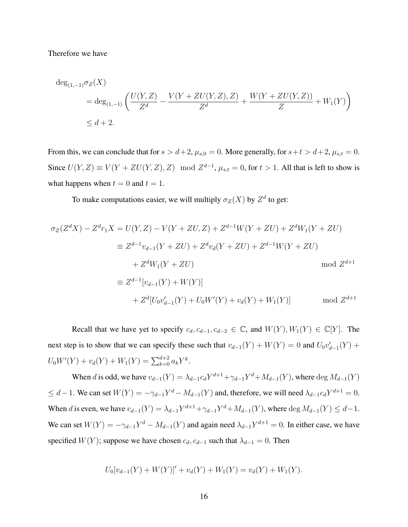Therefore we have

$$
\deg_{(1,-1)} \sigma_Z(X)
$$
  
=  $\deg_{(1,-1)} \left( \frac{U(Y,Z)}{Z^d} - \frac{V(Y + ZU(Y,Z),Z)}{Z^d} + \frac{W(Y + ZU(Y,Z))}{Z} + W_1(Y) \right)$   
 $\leq d + 2.$ 

From this, we can conclude that for  $s > d+2$ ,  $\mu_{s,0} = 0$ . More generally, for  $s+t > d+2$ ,  $\mu_{s,t} = 0$ . Since  $U(Y, Z) \equiv V(Y + ZU(Y, Z), Z) \mod Z^{d-1}$ ,  $\mu_{s,t} = 0$ , for  $t > 1$ . All that is left to show is what happens when  $t = 0$  and  $t = 1$ .

To make computations easier, we will multiply  $\sigma_Z(X)$  by  $Z^d$  to get:

$$
\sigma_Z(Z^dX) - Z^dr_1X = U(Y, Z) - V(Y + ZU, Z) + Z^{d-1}W(Y + ZU) + Z^dW_1(Y + ZU)
$$
  
\n
$$
\equiv Z^{d-1}v_{d-1}(Y + ZU) + Z^dv_d(Y + ZU) + Z^{d-1}W(Y + ZU)
$$
  
\n
$$
+ Z^dW_1(Y + ZU)
$$
 mod  $Z^{d+1}$   
\n
$$
\equiv Z^{d-1}[v_{d-1}(Y) + W(Y)]
$$
  
\n
$$
+ Z^d[U_0v'_{d-1}(Y) + U_0W'(Y) + v_d(Y) + W_1(Y)]
$$
 mod  $Z^{d+1}$ 

Recall that we have yet to specify  $c_d$ ,  $c_{d-1}$ ,  $c_{d-2} \in \mathbb{C}$ , and  $W(Y)$ ,  $W_1(Y) \in \mathbb{C}[Y]$ . The next step is to show that we can specify these such that  $v_{d-1}(Y) + W(Y) = 0$  and  $U_0v'_{d-1}(Y) +$  $U_0W'(Y) + v_d(Y) + W_1(Y) = \sum_{k=0}^{d+2} a_k Y^k.$ 

When d is odd, we have  $v_{d-1}(Y) = \lambda_{d-1} c_d Y^{d+1} + \gamma_{d-1} Y^d + M_{d-1}(Y)$ , where  $\deg M_{d-1}(Y)$  $\leq d-1$ . We can set  $W(Y) = -\gamma_{d-1}Y^d - M_{d-1}(Y)$  and, therefore, we will need  $\lambda_{d-1}c_dY^{d+1} = 0$ . When d is even, we have  $v_{d-1}(Y) = \lambda_{d-1} Y^{d+1} + \gamma_{d-1} Y^d + M_{d-1}(Y)$ , where  $\deg M_{d-1}(Y) \leq d-1$ . We can set  $W(Y) = -\gamma_{d-1}Y^d - M_{d-1}(Y)$  and again need  $\lambda_{d-1}Y^{d+1} = 0$ . In either case, we have specified  $W(Y)$ ; suppose we have chosen  $c_d$ ,  $c_{d-1}$  such that  $\lambda_{d-1} = 0$ . Then

$$
U_0[v_{d-1}(Y) + W(Y)]' + v_d(Y) + W_1(Y) = v_d(Y) + W_1(Y).
$$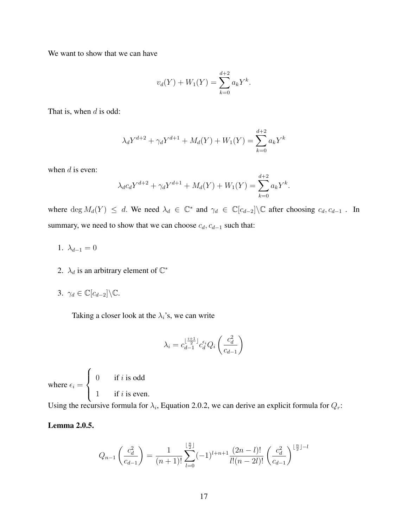We want to show that we can have

$$
v_d(Y) + W_1(Y) = \sum_{k=0}^{d+2} a_k Y^k.
$$

That is, when  $d$  is odd:

$$
\lambda_d Y^{d+2} + \gamma_d Y^{d+1} + M_d(Y) + W_1(Y) = \sum_{k=0}^{d+2} a_k Y^k
$$

when  $d$  is even:

$$
\lambda_d c_d Y^{d+2} + \gamma_d Y^{d+1} + M_d(Y) + W_1(Y) = \sum_{k=0}^{d+2} a_k Y^k.
$$

where  $\deg M_d(Y) \leq d$ . We need  $\lambda_d \in \mathbb{C}^*$  and  $\gamma_d \in \mathbb{C}[c_{d-2}]\backslash \mathbb{C}$  after choosing  $c_d, c_{d-1}$ . In summary, we need to show that we can choose  $c_d$ ,  $c_{d-1}$  such that:

- 1.  $\lambda_{d-1} = 0$
- 2.  $\lambda_d$  is an arbitrary element of  $\mathbb{C}^*$
- 3.  $\gamma_d \in \mathbb{C}[c_{d-2}]\backslash \mathbb{C}$ .

Taking a closer look at the  $\lambda_i$ 's, we can write

$$
\lambda_i = c_{d-1}^{\lfloor \frac{i+1}{2} \rfloor} c_d^{\epsilon_i} Q_i \left( \frac{c_d^2}{c_{d-1}} \right)
$$

where  $\epsilon_i =$  $\sqrt{ }$  $\int$  $\overline{\mathcal{L}}$ 0 if i is odd 1 if i is even.

Using the recursive formula for  $\lambda_i$ , Equation 2.0.2, we can derive an explicit formula for  $Q_r$ :

### Lemma 2.0.5.

$$
Q_{n-1}\left(\frac{c_d^2}{c_{d-1}}\right) = \frac{1}{(n+1)!} \sum_{l=0}^{\lfloor \frac{n}{2} \rfloor} (-1)^{l+n+1} \frac{(2n-l)!}{l!(n-2l)!} \left(\frac{c_d^2}{c_{d-1}}\right)^{\lfloor \frac{n}{2} \rfloor - l}
$$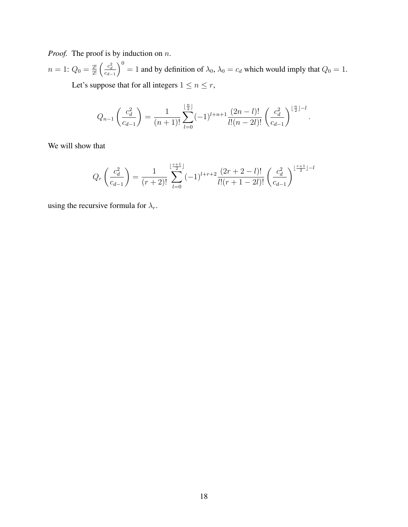*Proof.* The proof is by induction on n.

 $n=1:Q_{0}=\frac{2!}{2!}\left(\frac{c_{d}^{2}}{c_{d-1}}\right)$  $\bigg( \bigg)^0 = 1$  and by definition of  $\lambda_0$ ,  $\lambda_0 = c_d$  which would imply that  $Q_0 = 1$ . Let's suppose that for all integers  $1\leq n\leq r,$ 

$$
Q_{n-1}\left(\frac{c_d^2}{c_{d-1}}\right) = \frac{1}{(n+1)!} \sum_{l=0}^{\lfloor \frac{n}{2} \rfloor} (-1)^{l+n+1} \frac{(2n-l)!}{l!(n-2l)!} \left(\frac{c_d^2}{c_{d-1}}\right)^{\lfloor \frac{n}{2} \rfloor - l}
$$

.

We will show that

$$
Q_r\left(\frac{c_d^2}{c_{d-1}}\right) = \frac{1}{(r+2)!} \sum_{l=0}^{\lfloor \frac{r+1}{2} \rfloor} (-1)^{l+r+2} \frac{(2r+2-l)!}{l!(r+1-2l)!} \left(\frac{c_d^2}{c_{d-1}}\right)^{\lfloor \frac{r+1}{2} \rfloor-l}
$$

using the recursive formula for  $\lambda_r$ .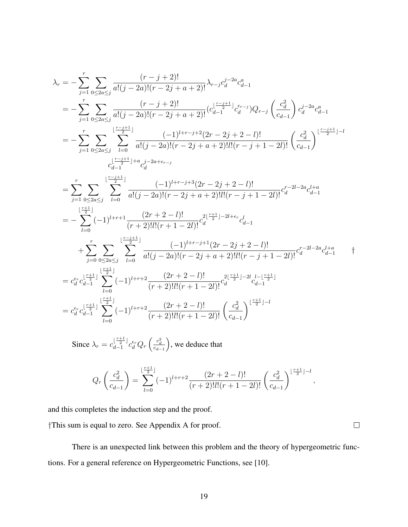$$
\begin{split} \lambda_{r}&=-\sum_{j=1}^{r}\sum_{0\leq 2a\leq j}\frac{(r-j+2)!}{a!(j-2a)!(r-2j+a+2)!}\lambda_{r-j}c_{d}^{j-2a}c_{d-1}^{a}\\ &= -\sum_{j=1}^{r}\sum_{0\leq 2a\leq j}\frac{(r-j+2)!}{a!(j-2a)!(r-2j+a+2)!}(c_{d-1}^{\lfloor \frac{r-j+1}{2} \rfloor}c_{d}^{i-j})Q_{r-j}\left(\frac{c_{d}^{2}}{c_{d-1}}\right)c_{d}^{j-2a}c_{d-1}^{a}\\ &= -\sum_{j=1}^{r}\sum_{0\leq 2a\leq j}\sum_{l=0}^{\lfloor \frac{r-j+1}{2} \rfloor}\frac{(-1)^{l+r-j+2}(2r-2j+2-l)!}{a!(j-2a)!(r-2j+a+2)!l!(r-j+1-2l)!}\left(\frac{c_{d}^{2}}{c_{d-1}}\right)^{\lfloor \frac{r-j+1}{2} \rfloor-l}\\ &= \sum_{j=1}^{r}\sum_{0\leq 2a\leq j}\sum_{l=0}^{\lfloor \frac{r-j+1}{2} \rfloor} \frac{(-1)^{l+r-j+3}(2r-2j+2-l)!}{a!(j-2a)!(r-2j+a+2)!l!(r-j+1-2l)!}c_{d}^{r-2l-2a}c_{d-1}^{l+a}\\ &= -\sum_{l=0}^{r}\sum_{0\leq 2a\leq j}\sum_{l=0}^{\lfloor \frac{r-j+1}{2} \rfloor}\frac{(-1)^{l+r-j+3}(2r-2j+2-l)!}{a!(j-2a)!(r-2j+a+2)!l!(r-j+1-2l)!}c_{d}^{r-2l-2a}c_{d-1}^{l+a}\\ &+\sum_{j=0}^{r}\sum_{0\leq 2a\leq j}\sum_{l=0}^{\lfloor \frac{r-j+1}{2} \rfloor}\frac{(-1)^{l+r-j+1}(2r-2j+2-l)!}{a!(j-2a)!(r-2j+a+2)!l!(r-j+1-2l)!}c_{d}^{r-2l-2a}c_{d-1}^{l+a}\\ &= c_{d}^{i}c_{d-1}^{\lfloor \frac{r+1}{2} \rfloor}\sum_{l=0}^{\lfloor \frac{r+j
$$

Since  $\lambda_r = c_{d-1}^{\lfloor \frac{r+1}{2} \rfloor}$  $\frac{\lfloor\frac{r+1}{2}\rfloor}{d-1}c_d^{\epsilon_r}Q_r\left(\frac{c_d^2}{c_{d-1}}\right)$ , we deduce that

$$
Q_r\left(\frac{c_d^2}{c_{d-1}}\right) = \sum_{l=0}^{\lfloor \frac{r+1}{2} \rfloor} (-1)^{l+r+2} \frac{(2r+2-l)!}{(r+2)! l! (r+1-2l)!} \left(\frac{c_d^2}{c_{d-1}}\right)^{\lfloor \frac{r+1}{2} \rfloor - l},
$$

and this completes the induction step and the proof.

†This sum is equal to zero. See Appendix A for proof.

There is an unexpected link between this problem and the theory of hypergeometric functions. For a general reference on Hypergeometric Functions, see [10].

 $\hfill \square$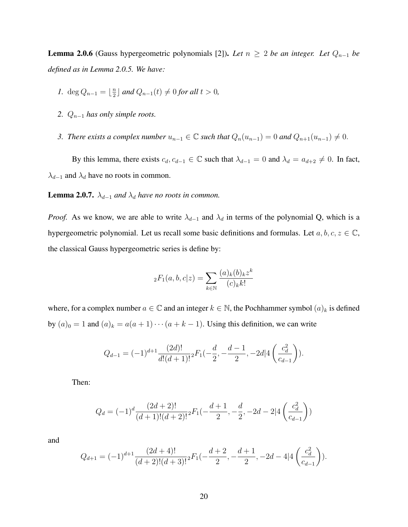**Lemma 2.0.6** (Gauss hypergeometric polynomials [2]). Let  $n \geq 2$  be an integer. Let  $Q_{n-1}$  be *defined as in Lemma 2.0.5. We have:*

- *1.* deg  $Q_{n-1} = \lfloor \frac{n}{2} \rfloor$  $\frac{n}{2}$  *and*  $Q_{n-1}(t)$  ≠ 0 *for all*  $t > 0$ *,*
- 2.  $Q_{n-1}$  *has only simple roots.*
- *3. There exists a complex number*  $u_{n-1}$  ∈  $\mathbb C$  *such that*  $Q_n(u_{n-1}) = 0$  *and*  $Q_{n+1}(u_{n-1}) \neq 0$ .

By this lemma, there exists  $c_d, c_{d-1} \in \mathbb{C}$  such that  $\lambda_{d-1} = 0$  and  $\lambda_d = a_{d+2} \neq 0$ . In fact,  $\lambda_{d-1}$  and  $\lambda_d$  have no roots in common.

**Lemma 2.0.7.**  $\lambda_{d-1}$  *and*  $\lambda_d$  *have no roots in common.* 

*Proof.* As we know, we are able to write  $\lambda_{d-1}$  and  $\lambda_d$  in terms of the polynomial Q, which is a hypergeometric polynomial. Let us recall some basic definitions and formulas. Let  $a, b, c, z \in \mathbb{C}$ , the classical Gauss hypergeometric series is define by:

$$
{}_{2}F_{1}(a,b,c|z) = \sum_{k \in \mathbb{N}} \frac{(a)_{k}(b)_{k}z^{k}}{(c)_{k}k!}
$$

where, for a complex number  $a \in \mathbb{C}$  and an integer  $k \in \mathbb{N}$ , the Pochhammer symbol  $(a)_k$  is defined by  $(a)_0 = 1$  and  $(a)_k = a(a + 1) \cdots (a + k - 1)$ . Using this definition, we can write

$$
Q_{d-1} = (-1)^{d+1} \frac{(2d)!}{d!(d+1)!} {}_{2}F_{1}(-\frac{d}{2}, -\frac{d-1}{2}, -2d] \left( \frac{c_d^2}{c_{d-1}} \right).
$$

Then:

$$
Q_d=(-1)^d\frac{(2d+2)!}{(d+1)!(d+2)!}{}_2F_1(-\frac{d+1}{2},-\frac{d}{2},-2d-2|4\left(\frac{c_d^2}{c_{d-1}}\right))
$$

and

$$
Q_{d+1} = (-1)^{d+1} \frac{(2d+4)!}{(d+2)!(d+3)!} {}_{2}F_{1}(-\frac{d+2}{2}, -\frac{d+1}{2}, -2d-4]4\left(\frac{c_{d}^{2}}{c_{d-1}}\right)).
$$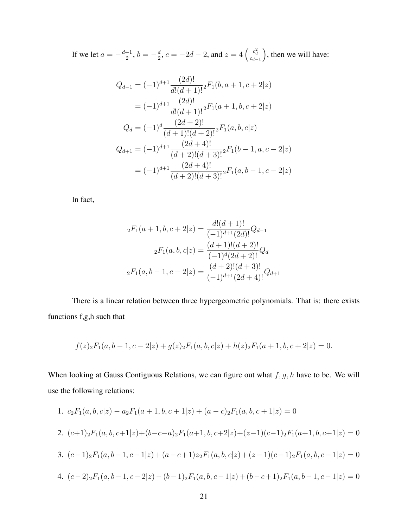If we let  $a = -\frac{d+1}{2}$  $\frac{+1}{2}, b = -\frac{d}{2}$  $\frac{d}{2}$ ,  $c = -2d - 2$ , and  $z = 4 \left( \frac{c_d^2}{c_{d-1}} \right)$ , then we will have:

$$
Q_{d-1} = (-1)^{d+1} \frac{(2d)!}{d!(d+1)!} {}_{2}F_{1}(b, a+1, c+2|z)
$$
  

$$
= (-1)^{d+1} \frac{(2d)!}{d!(d+1)!} {}_{2}F_{1}(a+1, b, c+2|z)
$$
  

$$
Q_{d} = (-1)^{d} \frac{(2d+2)!}{(d+1)!(d+2)!} {}_{2}F_{1}(a, b, c|z)
$$
  

$$
Q_{d+1} = (-1)^{d+1} \frac{(2d+4)!}{(d+2)!(d+3)!} {}_{2}F_{1}(b-1, a, c-2|z)
$$
  

$$
= (-1)^{d+1} \frac{(2d+4)!}{(d+2)!(d+3)!} {}_{2}F_{1}(a, b-1, c-2|z)
$$

In fact,

$$
{}_{2}F_{1}(a+1,b,c+2|z) = \frac{d!(d+1)!}{(-1)^{d+1}(2d)!}Q_{d-1}
$$

$$
{}_{2}F_{1}(a,b,c|z) = \frac{(d+1)!(d+2)!}{(-1)^{d}(2d+2)!}Q_{d}
$$

$$
{}_{2}F_{1}(a,b-1,c-2|z) = \frac{(d+2)!(d+3)!}{(-1)^{d+1}(2d+4)!}Q_{d+1}
$$

There is a linear relation between three hypergeometric polynomials. That is: there exists functions f,g,h such that

$$
f(z)_{2}F_{1}(a, b-1, c-2|z) + g(z)_{2}F_{1}(a, b, c|z) + h(z)_{2}F_{1}(a+1, b, c+2|z) = 0.
$$

When looking at Gauss Contiguous Relations, we can figure out what  $f, g, h$  have to be. We will use the following relations:

1. 
$$
c_2F_1(a, b, c|z) - a_2F_1(a+1, b, c+1|z) + (a-c)_2F_1(a, b, c+1|z) = 0
$$
  
\n2.  $(c+1)_2F_1(a, b, c+1|z) + (b-c-a)_2F_1(a+1, b, c+2|z) + (z-1)(c-1)_2F_1(a+1, b, c+1|z) = 0$   
\n3.  $(c-1)_2F_1(a, b-1, c-1|z) + (a-c+1)z_2F_1(a, b, c|z) + (z-1)(c-1)_2F_1(a, b, c-1|z) = 0$   
\n4.  $(c-2)_2F_1(a, b-1, c-2|z) - (b-1)_2F_1(a, b, c-1|z) + (b-c+1)_2F_1(a, b-1, c-1|z) = 0$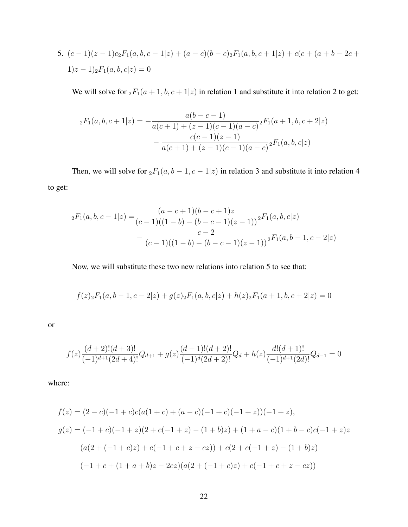5. 
$$
(c-1)(z-1)c_2F_1(a, b, c-1|z) + (a-c)(b-c)_2F_1(a, b, c+1|z) + c(c+(a+b-2c+1)z-1)_2F_1(a, b, c|z) = 0
$$

We will solve for  ${}_2F_1(a + 1, b, c + 1|z)$  in relation 1 and substitute it into relation 2 to get:

$$
{}_{2}F_{1}(a,b,c+1|z) = -\frac{a(b-c-1)}{a(c+1)+(z-1)(c-1)(a-c)} {}_{2}F_{1}(a+1,b,c+2|z) - \frac{c(c-1)(z-1)}{a(c+1)+(z-1)(c-1)(a-c)} {}_{2}F_{1}(a,b,c|z)
$$

Then, we will solve for  ${}_2F_1(a, b - 1, c - 1|z)$  in relation 3 and substitute it into relation 4 to get:

$$
{}_{2}F_{1}(a,b,c-1|z) = \frac{(a-c+1)(b-c+1)z}{(c-1)((1-b)-(b-c-1)(z-1))^{2}} F_{1}(a,b,c|z)
$$

$$
-\frac{c-2}{(c-1)((1-b)-(b-c-1)(z-1))^{2}} F_{1}(a,b-1,c-2|z)
$$

Now, we will substitute these two new relations into relation 5 to see that:

$$
f(z)_{2}F_{1}(a, b-1, c-2|z) + g(z)_{2}F_{1}(a, b, c|z) + h(z)_{2}F_{1}(a+1, b, c+2|z) = 0
$$

or

$$
f(z)\frac{(d+2)!(d+3)!}{(-1)^{d+1}(2d+4)!}Q_{d+1}+g(z)\frac{(d+1)!(d+2)!}{(-1)^{d}(2d+2)!}Q_d+h(z)\frac{d!(d+1)!}{(-1)^{d+1}(2d)!}Q_{d-1}=0
$$

where:

$$
f(z) = (2 - c)(-1 + c)c(a(1 + c) + (a - c)(-1 + c)(-1 + z))(-1 + z),
$$
  
\n
$$
g(z) = (-1 + c)(-1 + z)(2 + c(-1 + z) - (1 + b)z) + (1 + a - c)(1 + b - c)c(-1 + z)z
$$
  
\n
$$
(a(2 + (-1 + c)z) + c(-1 + c + z - cz)) + c(2 + c(-1 + z) - (1 + b)z)
$$
  
\n
$$
(-1 + c + (1 + a + b)z - 2cz)(a(2 + (-1 + c)z) + c(-1 + c + z - cz))
$$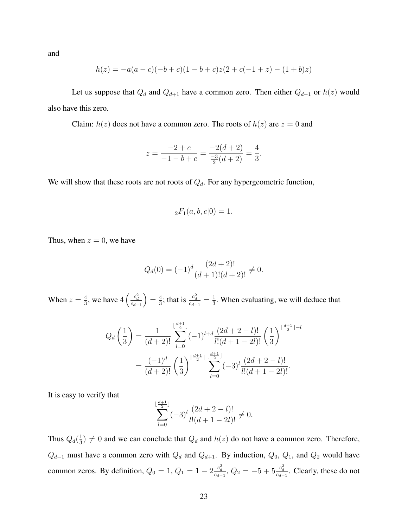and

$$
h(z) = -a(a-c)(-b+c)(1-b+c)z(2+c(-1+z)-(1+b)z)
$$

Let us suppose that  $Q_d$  and  $Q_{d+1}$  have a common zero. Then either  $Q_{d-1}$  or  $h(z)$  would also have this zero.

Claim:  $h(z)$  does not have a common zero. The roots of  $h(z)$  are  $z = 0$  and

$$
z = \frac{-2+c}{-1-b+c} = \frac{-2(d+2)}{\frac{-3}{2}(d+2)} = \frac{4}{3}.
$$

We will show that these roots are not roots of  $Q_d$ . For any hypergeometric function,

$$
{}_2F_1(a, b, c|0) = 1.
$$

Thus, when  $z = 0$ , we have

$$
Q_d(0) = (-1)^d \frac{(2d+2)!}{(d+1)!(d+2)!} \neq 0.
$$

When  $z=\frac{4}{3}$  $\frac{4}{3}$ , we have  $4\left(\frac{c_d^2}{c_{d-1}}\right)$  $= \frac{4}{3}$  $\frac{4}{3}$ ; that is  $\frac{c_d^2}{c_{d-1}} = \frac{1}{3}$  $\frac{1}{3}$ . When evaluating, we will deduce that

$$
Q_d\left(\frac{1}{3}\right) = \frac{1}{(d+2)!} \sum_{l=0}^{\lfloor \frac{d+1}{2} \rfloor} (-1)^{l+d} \frac{(2d+2-l)!}{l!(d+1-2l)!} \left(\frac{1}{3}\right)^{\lfloor \frac{d+1}{2} \rfloor-l} = \frac{(-1)^d}{(d+2)!} \left(\frac{1}{3}\right)^{\lfloor \frac{d+1}{2} \rfloor} \sum_{l=0}^{\lfloor \frac{d+1}{2} \rfloor} (-3)^l \frac{(2d+2-l)!}{l!(d+1-2l)!}.
$$

It is easy to verify that

$$
\sum_{l=0}^{\lfloor \frac{d+1}{2} \rfloor} (-3)^l \frac{(2d+2-l)!}{l!(d+1-2l)!} \neq 0.
$$

Thus  $Q_d(\frac{1}{3})$  $\frac{1}{3}$ )  $\neq$  0 and we can conclude that  $Q_d$  and  $h(z)$  do not have a common zero. Therefore,  $Q_{d-1}$  must have a common zero with  $Q_d$  and  $Q_{d+1}$ . By induction,  $Q_0$ ,  $Q_1$ , and  $Q_2$  would have common zeros. By definition,  $Q_0 = 1$ ,  $Q_1 = 1 - 2\frac{c_d^2}{c_{d-1}}$ ,  $Q_2 = -5 + 5\frac{c_d^2}{c_{d-1}}$ . Clearly, these do not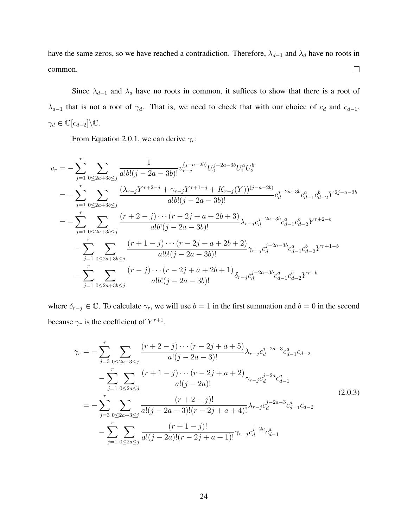have the same zeros, so we have reached a contradiction. Therefore,  $\lambda_{d-1}$  and  $\lambda_d$  have no roots in common.  $\Box$ 

Since  $\lambda_{d-1}$  and  $\lambda_d$  have no roots in common, it suffices to show that there is a root of  $\lambda_{d-1}$  that is not a root of  $\gamma_d$ . That is, we need to check that with our choice of  $c_d$  and  $c_{d-1}$ ,  $\gamma_d \in \mathbb{C}[c_{d-2}]\backslash \mathbb{C}.$ 

From Equation 2.0.1, we can derive  $\gamma_r$ :

$$
v_r = -\sum_{j=1}^r \sum_{0 \le 2a+3b \le j} \frac{1}{a!b!(j-2a-3b)!} v_{r-j}^{(j-a-2b)} U_0^{j-2a-3b} U_1^a U_2^b
$$
  
\n
$$
= -\sum_{j=1}^r \sum_{0 \le 2a+3b \le j} \frac{(\lambda_{r-j} Y^{r+2-j} + \gamma_{r-j} Y^{r+1-j} + K_{r-j} (Y))^{(j-a-2b)}}{a!b!(j-2a-3b)!} c_d^{j-2a-3b} c_{d-1}^a c_{d-2}^b Y^{2j-a-3b}
$$
  
\n
$$
= -\sum_{j=1}^r \sum_{0 \le 2a+3b \le j} \frac{(r+2-j)\cdots(r-2j+a+2b+3)}{a!b!(j-2a-3b)!} \lambda_{r-j} c_d^{j-2a-3b} c_{d-1}^a c_{d-2}^b Y^{r+2-b}
$$
  
\n
$$
- \sum_{j=1}^r \sum_{0 \le 2a+3b \le j} \frac{(r+1-j)\cdots(r-2j+a+2b+2)}{a!b!(j-2a-3b)!} \gamma_{r-j} c_d^{j-2a-3b} c_{d-1}^a c_{d-2}^b Y^{r+1-b}
$$
  
\n
$$
- \sum_{j=1}^r \sum_{0 \le 2a+3b \le j} \frac{(r-j)\cdots(r-2j+a+2b+1)}{a!b!(j-2a-3b)!} \delta_{r-j} c_d^{j-2a-3b} c_{d-1}^a c_{d-2}^b Y^{r-b}
$$

where  $\delta_{r-j} \in \mathbb{C}$ . To calculate  $\gamma_r$ , we will use  $b = 1$  in the first summation and  $b = 0$  in the second because  $\gamma_r$  is the coefficient of  $Y^{r+1}$ .

$$
\gamma_r = -\sum_{j=3}^r \sum_{0 \le 2a+3 \le j} \frac{(r+2-j)\cdots(r-2j+a+5)}{a!(j-2a-3)!} \lambda_{r-j} c_d^{j-2a-3} c_{d-1}^a c_{d-2}
$$

$$
-\sum_{j=1}^r \sum_{0 \le 2a \le j} \frac{(r+1-j)\cdots(r-2j+a+2)}{a!(j-2a)!} \gamma_{r-j} c_d^{j-2a} c_{d-1}^a
$$

$$
= -\sum_{j=3}^r \sum_{0 \le 2a+3 \le j} \frac{(r+2-j)!}{a!(j-2a-3)!(r-2j+a+4)!} \lambda_{r-j} c_d^{j-2a-3} c_{d-1}^a c_{d-2}
$$

$$
-\sum_{j=1}^r \sum_{0 \le 2a \le j} \frac{(r+1-j)!}{a!(j-2a)!(r-2j+a+1)!} \gamma_{r-j} c_d^{j-2a} c_{d-1}^a
$$
(2.0.3)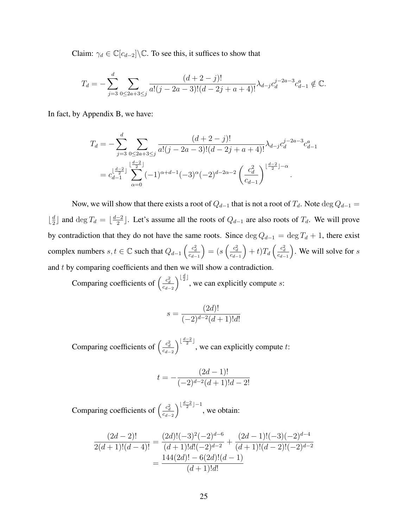Claim:  $\gamma_d \in \mathbb{C}[c_{d-2}]\backslash \mathbb{C}$ . To see this, it suffices to show that

$$
T_d = -\sum_{j=3}^d \sum_{0 \le 2a+3 \le j} \frac{(d+2-j)!}{a!(j-2a-3)!(d-2j+a+4)!} \lambda_{d-j} c_d^{j-2a-3} c_{d-1}^a \notin \mathbb{C}.
$$

In fact, by Appendix B, we have:

$$
T_d = -\sum_{j=3}^d \sum_{0 \le 2a+3 \le j} \frac{(d+2-j)!}{a!(j-2a-3)!(d-2j+a+4)!} \lambda_{d-j} c_d^{j-2a-3} c_{d-1}^a
$$
  
= 
$$
c_{d-1}^{\lfloor \frac{d-2}{2} \rfloor} \sum_{\alpha=0}^{\lfloor \frac{d-2}{2} \rfloor} (-1)^{\alpha+d-1} (-3)^{\alpha} (-2)^{d-2\alpha-2} \left( \frac{c_d^2}{c_{d-1}} \right)^{\lfloor \frac{d-2}{2} \rfloor - \alpha}.
$$

Now, we will show that there exists a root of  $Q_{d-1}$  that is not a root of  $T_d$ . Note  $\deg Q_{d-1}$  =  $\frac{d}{2}$  $\frac{d}{2}$  and deg  $T_d = \lfloor \frac{d-2}{2} \rfloor$  $\frac{-2}{2}$ ]. Let's assume all the roots of  $Q_{d-1}$  are also roots of  $T_d$ . We will prove by contradiction that they do not have the same roots. Since  $\deg Q_{d-1} = \deg T_d + 1$ , there exist complex numbers  $s, t \in \mathbb{C}$  such that  $Q_{d-1} \left( \frac{c_d^2}{c_{d-1}} \right)$  $=\big(s\left(\frac{c_d^2}{c_{d-1}}\right)$  $\Big) + t) T_d \left( \frac{c_d^2}{c_{d-1}} \right)$ ). We will solve for  $s$ and t by comparing coefficients and then we will show a contradiction.

Comparing coefficients of  $\left(\frac{c_d^2}{c_{d-2}}\right)$  $\int_{0}^{\lfloor \frac{d}{2} \rfloor}$ , we can explicitly compute *s*:

$$
s = \frac{(2d)!}{(-2)^{d-2}(d+1)!d!}
$$

Comparing coefficients of  $\left(\frac{c_d^2}{c_{d-2}}\right)$  $\int_{0}^{\lfloor \frac{d-2}{2} \rfloor}$ , we can explicitly compute t:

$$
t = -\frac{(2d-1)!}{(-2)^{d-2}(d+1)!d-2!}
$$

Comparing coefficients of  $\left(\frac{c_d^2}{c_{d-2}}\right)$  $\int_{0}^{\lfloor \frac{d-2}{2} \rfloor-1}$ , we obtain:

$$
\frac{(2d-2)!}{2(d+1)!(d-4)!} = \frac{(2d)!(-3)^2(-2)^{d-6}}{(d+1)!d!(-2)^{d-2}} + \frac{(2d-1)!(-3)(-2)^{d-4}}{(d+1)!(d-2)!(-2)^{d-2}}
$$

$$
= \frac{144(2d)! - 6(2d)!(d-1)}{(d+1)!d!}
$$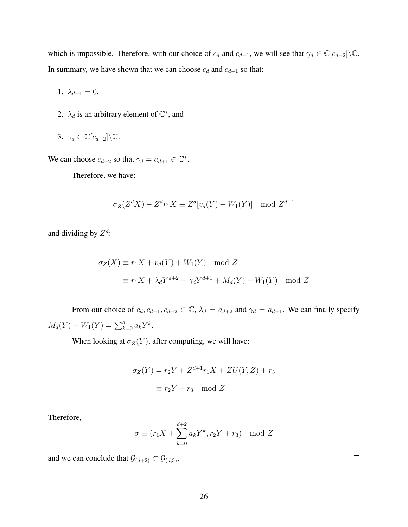which is impossible. Therefore, with our choice of  $c_d$  and  $c_{d-1}$ , we will see that  $\gamma_d \in \mathbb{C}[c_{d-2}]\backslash\mathbb{C}$ . In summary, we have shown that we can choose  $c_d$  and  $c_{d-1}$  so that:

$$
1. \lambda_{d-1} = 0,
$$

2.  $\lambda_d$  is an arbitrary element of  $\mathbb{C}^*$ , and

$$
3. \ \gamma_d \in \mathbb{C}[c_{d-2}]\backslash \mathbb{C}.
$$

We can choose  $c_{d-2}$  so that  $\gamma_d = a_{d+1} \in \mathbb{C}^*$ .

Therefore, we have:

$$
\sigma_Z(Z^d X) - Z^d r_1 X \equiv Z^d[v_d(Y) + W_1(Y)] \mod Z^{d+1}
$$

and dividing by  $Z^d$ :

$$
\sigma_Z(X) \equiv r_1 X + v_d(Y) + W_1(Y) \mod Z
$$
  

$$
\equiv r_1 X + \lambda_d Y^{d+2} + \gamma_d Y^{d+1} + M_d(Y) + W_1(Y) \mod Z
$$

From our choice of  $c_d$ ,  $c_{d-1}$ ,  $c_{d-2} \in \mathbb{C}$ ,  $\lambda_d = a_{d+2}$  and  $\gamma_d = a_{d+1}$ . We can finally specify  $M_d(Y) + W_1(Y) = \sum_{k=0}^d a_k Y^k$ .

When looking at  $\sigma_Z(Y)$ , after computing, we will have:

$$
\sigma_Z(Y) = r_2 Y + Z^{d+1} r_1 X + ZU(Y, Z) + r_3
$$

$$
\equiv r_2 Y + r_3 \mod Z
$$

Therefore,

$$
\sigma \equiv (r_1 X + \sum_{k=0}^{d+2} a_k Y^k, r_2 Y + r_3) \mod Z
$$

and we can conclude that  $\mathcal{G}_{(d+2)} \subset \overline{\mathcal{G}_{(d,3)}}$ .

 $\Box$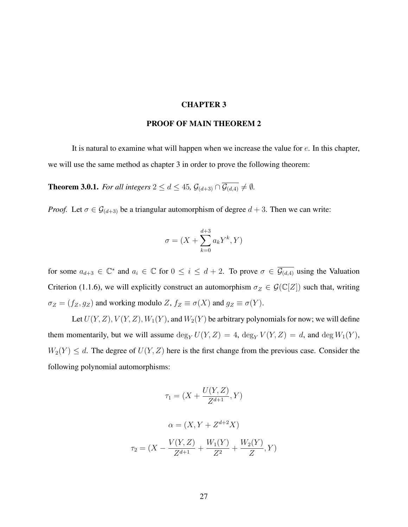#### CHAPTER 3

#### PROOF OF MAIN THEOREM 2

It is natural to examine what will happen when we increase the value for  $e$ . In this chapter, we will use the same method as chapter 3 in order to prove the following theorem:

**Theorem 3.0.1.** *For all integers*  $2 \le d \le 45$ ,  $\mathcal{G}_{(d+3)} \cap \overline{\mathcal{G}_{(d,4)}} \neq \emptyset$ .

*Proof.* Let  $\sigma \in \mathcal{G}_{(d+3)}$  be a triangular automorphism of degree  $d+3$ . Then we can write:

$$
\sigma = (X + \sum_{k=0}^{d+3} a_k Y^k, Y)
$$

for some  $a_{d+3} \in \mathbb{C}^*$  and  $a_i \in \mathbb{C}$  for  $0 \le i \le d+2$ . To prove  $\sigma \in \overline{\mathcal{G}_{(d,4)}}$  using the Valuation Criterion (1.1.6), we will explicitly construct an automorphism  $\sigma_Z \in \mathcal{G}(\mathbb{C}[Z])$  such that, writing  $\sigma_Z = (f_Z, g_Z)$  and working modulo  $Z, f_Z \equiv \sigma(X)$  and  $g_Z \equiv \sigma(Y)$ .

Let  $U(Y, Z), V(Y, Z), W_1(Y)$ , and  $W_2(Y)$  be arbitrary polynomials for now; we will define them momentarily, but we will assume  $\deg_Y U(Y, Z) = 4$ ,  $\deg_Y V(Y, Z) = d$ , and  $\deg W_1(Y)$ ,  $W_2(Y) \leq d$ . The degree of  $U(Y, Z)$  here is the first change from the previous case. Consider the following polynomial automorphisms:

$$
\tau_1 = (X + \frac{U(Y, Z)}{Z^{d+1}}, Y)
$$

$$
\alpha = (X, Y + Z^{d+2}X)
$$

$$
\tau_2 = (X - \frac{V(Y, Z)}{Z^{d+1}} + \frac{W_1(Y)}{Z^2} + \frac{W_2(Y)}{Z}, Y)
$$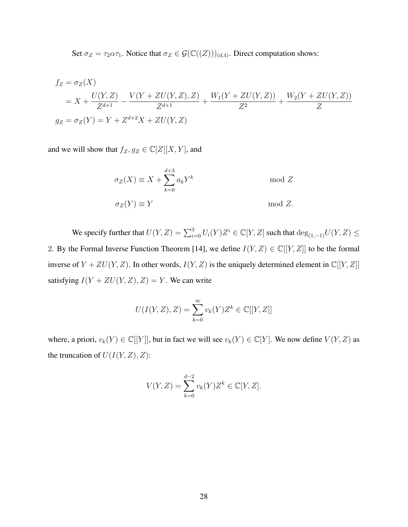Set  $\sigma_Z = \tau_2 \alpha \tau_1$ . Notice that  $\sigma_Z \in \mathcal{G}(\mathbb{C}((Z)))_{(d,4)}$ . Direct computation shows:

$$
f_Z = \sigma_Z(X)
$$
  
=  $X + \frac{U(Y, Z)}{Z^{d+1}} - \frac{V(Y + ZU(Y, Z), Z)}{Z^{d+1}} + \frac{W_1(Y + ZU(Y, Z))}{Z^2} + \frac{W_2(Y + ZU(Y, Z))}{Z}$   
 $g_Z = \sigma_Z(Y) = Y + Z^{d+2}X + ZU(Y, Z)$ 

and we will show that  $f_Z, g_Z \in \mathbb{C}[Z][X, Y]$ , and

$$
\sigma_Z(X) \equiv X + \sum_{k=0}^{d+3} a_k Y^k \quad \text{mod } Z
$$
  

$$
\sigma_Z(Y) \equiv Y \quad \text{mod } Z.
$$

We specify further that  $U(Y, Z) = \sum_{i=0}^{3} U_i(Y) Z^i \in \mathbb{C}[Y, Z]$  such that  $\deg_{(1, -1)} U(Y, Z) \leq$ 2. By the Formal Inverse Function Theorem [14], we define  $I(Y, Z) \in \mathbb{C}[[Y, Z]]$  to be the formal inverse of  $Y + ZU(Y, Z)$ . In other words,  $I(Y, Z)$  is the uniquely determined element in  $\mathbb{C}[[Y, Z]]$ satisfying  $I(Y + ZU(Y, Z), Z) = Y$ . We can write

$$
U(I(Y, Z), Z) = \sum_{k=0}^{\infty} v_k(Y) Z^k \in \mathbb{C}[[Y, Z]]
$$

where, a priori,  $v_k(Y) \in \mathbb{C}[[Y]]$ , but in fact we will see  $v_k(Y) \in \mathbb{C}[Y]$ . We now define  $V(Y, Z)$  as the truncation of  $U(I(Y, Z), Z)$ :

$$
V(Y, Z) = \sum_{k=0}^{d-2} v_k(Y) Z^k \in \mathbb{C}[Y, Z].
$$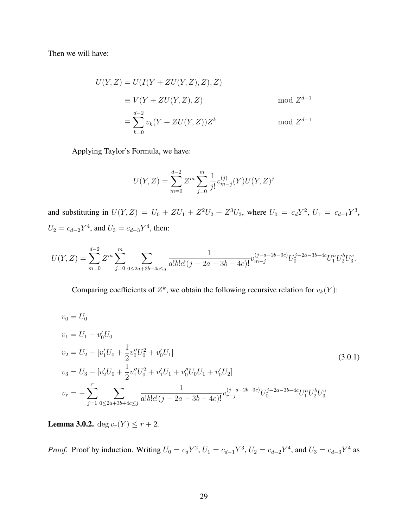Then we will have:

$$
U(Y, Z) = U(I(Y + ZU(Y, Z), Z), Z)
$$
  
\n
$$
\equiv V(Y + ZU(Y, Z), Z)
$$
 mod  $Z^{d-1}$   
\n
$$
\equiv \sum_{k=0}^{d-2} v_k(Y + ZU(Y, Z))Z^k
$$
 mod  $Z^{d-1}$ 

Applying Taylor's Formula, we have:

$$
U(Y, Z) = \sum_{m=0}^{d-2} Z^m \sum_{j=0}^m \frac{1}{j!} v_{m-j}^{(j)}(Y) U(Y, Z)^j
$$

and substituting in  $U(Y, Z) = U_0 + ZU_1 + Z^2U_2 + Z^3U_3$ , where  $U_0 = c_d Y^2$ ,  $U_1 = c_{d-1} Y^3$ ,  $U_2 = c_{d-2}Y^4$ , and  $U_3 = c_{d-3}Y^4$ , then:

$$
U(Y,Z) = \sum_{m=0}^{d-2} Z^m \sum_{j=0}^m \sum_{0 \le 2a+3b+4c \le j} \frac{1}{a!b!c!(j-2a-3b-4c)!} v_{m-j}^{(j-a-2b-3c)} U_0^{j-2a-3b-4c} U_1^a U_2^b U_3^c.
$$

Comparing coefficients of  $Z^k$ , we obtain the following recursive relation for  $v_k(Y)$ :

$$
v_0 = U_0
$$
  
\n
$$
v_1 = U_1 - v'_0 U_0
$$
  
\n
$$
v_2 = U_2 - [v'_1 U_0 + \frac{1}{2} v''_0 U_0^2 + v'_0 U_1]
$$
  
\n
$$
v_3 = U_3 - [v'_2 U_0 + \frac{1}{2} v''_1 U_0^2 + v'_1 U_1 + v''_0 U_0 U_1 + v'_0 U_2]
$$
  
\n
$$
v_r = -\sum_{j=1}^r \sum_{0 \le 2a+3b+4c \le j} \frac{1}{a! b! c! (j-2a-3b-4c)!} v_{r-j}^{(j-a-2b-3c)} U_0^{j-2a-3b-4c} U_1^a U_2^b U_3^c
$$
\n(3.0.1)

**Lemma 3.0.2.** deg  $v_r(Y) \leq r + 2$ .

*Proof.* Proof by induction. Writing  $U_0 = c_d Y^2$ ,  $U_1 = c_{d-1} Y^3$ ,  $U_2 = c_{d-2} Y^4$ , and  $U_3 = c_{d-3} Y^4$  as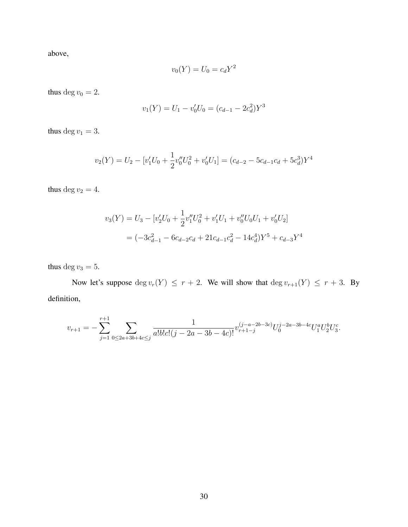above,

$$
v_0(Y) = U_0 = c_d Y^2
$$

thus deg  $v_0 = 2$ .

$$
v_1(Y) = U_1 - v'_0 U_0 = (c_{d-1} - 2c_d^2)Y^3
$$

thus deg  $v_1 = 3$ .

$$
v_2(Y) = U_2 - [v'_1 U_0 + \frac{1}{2}v''_0 U_0^2 + v'_0 U_1] = (c_{d-2} - 5c_{d-1}c_d + 5c_d^3)Y^4
$$

thus deg  $v_2 = 4$ .

$$
v_3(Y) = U_3 - [v'_2 U_0 + \frac{1}{2} v''_1 U_0^2 + v'_1 U_1 + v''_0 U_0 U_1 + v'_0 U_2]
$$
  
=  $(-3c_{d-1}^2 - 6c_{d-2}c_d + 21c_{d-1}c_d^2 - 14c_d^4)Y^5 + c_{d-3}Y^4$ 

thus deg  $v_3 = 5$ .

Now let's suppose  $\deg v_r(Y) \leq r + 2$ . We will show that  $\deg v_{r+1}(Y) \leq r + 3$ . By definition,

$$
v_{r+1} = -\sum_{j=1}^{r+1} \sum_{0 \le 2a+3b+4c \le j} \frac{1}{a!b!c!(j-2a-3b-4c)!} v_{r+1-j}^{(j-a-2b-3c)} U_0^{j-2a-3b-4c} U_1^a U_2^b U_3^c.
$$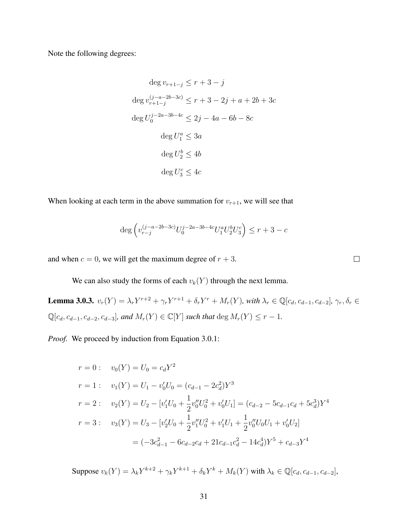Note the following degrees:

$$
\deg v_{r+1-j} \le r+3-j
$$
  

$$
\deg v_{r+1-j}^{(j-a-2b-3c)} \le r+3-2j+a+2b+3c
$$
  

$$
\deg U_0^{j-2a-3b-4c} \le 2j-4a-6b-8c
$$
  

$$
\deg U_1^a \le 3a
$$
  

$$
\deg U_2^b \le 4b
$$
  

$$
\deg U_3^c \le 4c
$$

When looking at each term in the above summation for  $v_{r+1}$ , we will see that

$$
\deg \left( v_{r-j}^{(j-a-2b-3c)} U_0^{j-2a-3b-4c} U_1^a U_2^b U_3^c \right) \leq r+3-c
$$

 $\Box$ 

and when  $c = 0$ , we will get the maximum degree of  $r + 3$ .

We can also study the forms of each  $v_k(Y)$  through the next lemma.

**Lemma 3.0.3.**  $v_r(Y) = \lambda_r Y^{r+2} + \gamma_r Y^{r+1} + \delta_r Y^r + M_r(Y)$ , with  $\lambda_r \in \mathbb{Q}[c_d, c_{d-1}, c_{d-2}], \gamma_r, \delta_r \in \mathbb{Q}[c_d, c_d]$  $\mathbb{Q}[c_d, c_{d-1}, c_{d-2}, c_{d-3}]$ *, and*  $M_r(Y) \in \mathbb{C}[Y]$  *such that* deg  $M_r(Y) \leq r - 1$ *.* 

*Proof.* We proceed by induction from Equation 3.0.1:

$$
r = 0: \t v_0(Y) = U_0 = c_d Y^2
$$
  
\n
$$
r = 1: \t v_1(Y) = U_1 - v'_0 U_0 = (c_{d-1} - 2c_d^2) Y^3
$$
  
\n
$$
r = 2: \t v_2(Y) = U_2 - [v'_1 U_0 + \frac{1}{2} v''_0 U_0^2 + v'_0 U_1] = (c_{d-2} - 5c_{d-1}c_d + 5c_d^3) Y^4
$$
  
\n
$$
r = 3: \t v_3(Y) = U_3 - [v'_2 U_0 + \frac{1}{2} v''_1 U_0^2 + v'_1 U_1 + \frac{1}{2} v''_0 U_0 U_1 + v'_0 U_2]
$$
  
\n
$$
= (-3c_{d-1}^2 - 6c_{d-2}c_d + 21c_{d-1}c_d^2 - 14c_d^4) Y^5 + c_{d-3} Y^4
$$

Suppose  $v_k(Y) = \lambda_k Y^{k+2} + \gamma_k Y^{k+1} + \delta_k Y^k + M_k(Y)$  with  $\lambda_k \in \mathbb{Q}[c_d, c_{d-1}, c_{d-2}],$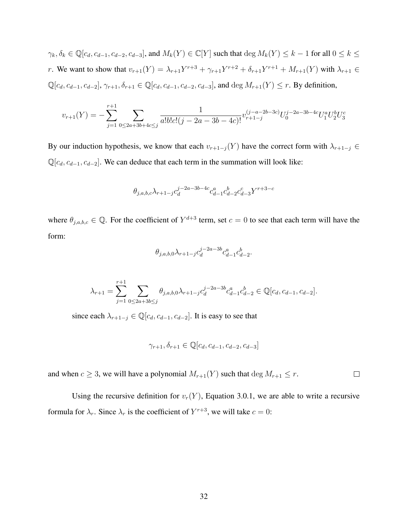$\gamma_k, \delta_k \in \mathbb{Q}[c_d, c_{d-1}, c_{d-2}, c_{d-3}]$ , and  $M_k(Y) \in \mathbb{C}[Y]$  such that  $\deg M_k(Y) \leq k-1$  for all  $0 \leq k \leq k$ r. We want to show that  $v_{r+1}(Y) = \lambda_{r+1}Y^{r+3} + \gamma_{r+1}Y^{r+2} + \delta_{r+1}Y^{r+1} + M_{r+1}(Y)$  with  $\lambda_{r+1} \in$  $\mathbb{Q}[c_d, c_{d-1}, c_{d-2}], \gamma_{r+1}, \delta_{r+1} \in \mathbb{Q}[c_d, c_{d-1}, c_{d-2}, c_{d-3}]$ , and  $\deg M_{r+1}(Y) \leq r$ . By definition,

$$
v_{r+1}(Y) = -\sum_{j=1}^{r+1} \sum_{0 \le 2a+3b+4c \le j} \frac{1}{a!b!c!(j-2a-3b-4c)!} v_{r+1-j}^{(j-a-2b-3c)} U_0^{j-2a-3b-4c} U_1^a U_2^b U_3^c
$$

By our induction hypothesis, we know that each  $v_{r+1-j}(Y)$  have the correct form with  $\lambda_{r+1-j} \in$  $\mathbb{Q}[c_d, c_{d-1}, c_{d-2}]$ . We can deduce that each term in the summation will look like:

$$
\theta_{j,a,b,c}\lambda_{r+1-j}c_{d}^{j-2a-3b-4c}c_{d-1}^{a}c_{d-2}^{b}c_{d-3}^{c}Y^{r+3-c}
$$

where  $\theta_{j,a,b,c} \in \mathbb{Q}$ . For the coefficient of  $Y^{d+3}$  term, set  $c = 0$  to see that each term will have the form:

$$
\theta_{j,a,b,0}\lambda_{r+1-j}c_d^{j-2a-3b}c_{d-1}^ac_{d-2}^b.
$$

$$
\lambda_{r+1} = \sum_{j=1}^{r+1} \sum_{0 \le 2a+3b \le j} \theta_{j,a,b,0} \lambda_{r+1-j} c_d^{j-2a-3b} c_{d-1}^a c_{d-2}^b \in \mathbb{Q}[c_d, c_{d-1}, c_{d-2}].
$$

since each  $\lambda_{r+1-j} \in \mathbb{Q}[c_d, c_{d-1}, c_{d-2}]$ . It is easy to see that

$$
\gamma_{r+1}, \delta_{r+1} \in \mathbb{Q}[c_d, c_{d-1}, c_{d-2}, c_{d-3}]
$$

and when  $c \geq 3$ , we will have a polynomial  $M_{r+1}(Y)$  such that  $\deg M_{r+1} \leq r$ .  $\Box$ 

Using the recursive definition for  $v_r(Y)$ , Equation 3.0.1, we are able to write a recursive formula for  $\lambda_r$ . Since  $\lambda_r$  is the coefficient of  $Y^{r+3}$ , we will take  $c = 0$ :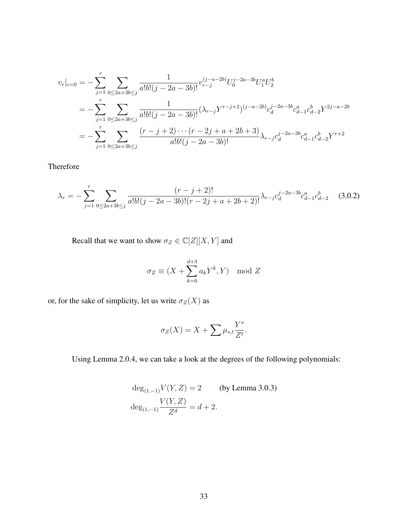$$
v_r|_{c=0} = -\sum_{j=1}^r \sum_{0 \le 2a+3b \le j} \frac{1}{a!b!(j-2a-3b)!} v_{r-j}^{(j-a-2b)} U_0^{j-2a-3b} U_1^a U_2^b
$$
  
= 
$$
-\sum_{j=1}^r \sum_{0 \le 2a+3b \le j} \frac{1}{a!b!(j-2a-3b)!} (\lambda_{r-j} Y^{r-j+2})^{(j-a-2b)} c_d^{j-2a-3b} c_{d-1}^a c_{d-2}^b Y^{2j-a-2b}
$$
  
= 
$$
-\sum_{j=1}^r \sum_{0 \le 2a+3b \le j} \frac{(r-j+2) \cdots (r-2j+a+2b+3)}{a!b!(j-2a-3b)!} \lambda_{r-j} c_d^{j-2a-3b} c_{d-1}^a c_{d-2}^b Y^{r+2}
$$

Therefore

$$
\lambda_r = -\sum_{j=1}^r \sum_{0 \le 2a+3b \le j} \frac{(r-j+2)!}{a!b!(j-2a-3b)!(r-2j+a+2b+2)!} \lambda_{r-j} c_d^{j-2a-3b} c_{d-1}^a c_{d-2}^b \tag{3.0.2}
$$

Recall that we want to show  $\sigma_Z \in \mathbb{C}[Z][X,Y]$  and

$$
\sigma_Z \equiv (X + \sum_{k=0}^{d+3} a_k Y^k, Y) \mod Z
$$

or, for the sake of simplicity, let us write  $\sigma_Z(X)$  as

$$
\sigma_Z(X) = X + \sum \mu_{s,t} \frac{Y^s}{Z^t}.
$$

Using Lemma 2.0.4, we can take a look at the degrees of the following polynomials:

$$
deg_{(1,-1)}V(Y,Z) = 2
$$
 (by Lemma 3.0.3)  

$$
deg_{(1,-1)}\frac{V(Y,Z)}{Z^d} = d + 2.
$$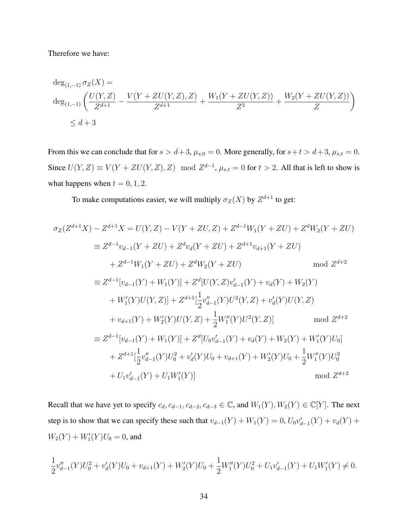Therefore we have:

$$
deg_{(1,-1)} \sigma_Z(X) =
$$
  
\n
$$
deg_{(1,-1)} \left( \frac{U(Y,Z)}{Z^{d+1}} - \frac{V(Y+ZU(Y,Z),Z)}{Z^{d+1}} + \frac{W_1(Y+ZU(Y,Z))}{Z^2} + \frac{W_2(Y+ZU(Y,Z))}{Z} \right)
$$
  
\n
$$
\leq d+3
$$

From this we can conclude that for  $s > d+3$ ,  $\mu_{s,0} = 0$ . More generally, for  $s + t > d+3$ ,  $\mu_{s,t} = 0$ . Since  $U(Y, Z) \equiv V(Y + ZU(Y, Z), Z) \mod Z^{d-1}$ ,  $\mu_{s,t} = 0$  for  $t > 2$ . All that is left to show is what happens when  $t = 0, 1, 2$ .

To make computations easier, we will multiply  $\sigma_Z(X)$  by  $Z^{d+1}$  to get:

$$
\sigma_Z(Z^{d+1}X) - Z^{d+1}X = U(Y, Z) - V(Y + ZU, Z) + Z^{d-1}W_1(Y + ZU) + Z^dW_2(Y + ZU)
$$
  
\n
$$
\equiv Z^{d-1}v_{d-1}(Y + ZU) + Z^d v_d(Y + ZU) + Z^{d+1}v_{d+1}(Y + ZU)
$$
  
\n
$$
+ Z^{d-1}W_1(Y + ZU) + Z^dW_2(Y + ZU) \qquad \text{mod } Z^{d+2}
$$
  
\n
$$
\equiv Z^{d-1}[v_{d-1}(Y) + W_1(Y)] + Z^d[U(Y, Z)v'_{d-1}(Y) + v_d(Y) + W_2(Y)
$$
  
\n
$$
+ W'_1(Y)U(Y, Z)] + Z^{d+1}[\frac{1}{2}v''_{d-1}(Y)U^2(Y, Z) + v'_d(Y)U(Y, Z)
$$
  
\n
$$
+ v_{d+1}(Y) + W'_2(Y)U(Y, Z) + \frac{1}{2}W''_1(Y)U^2(Y, Z)] \qquad \text{mod } Z^{d+2}
$$
  
\n
$$
\equiv Z^{d-1}[v_{d-1}(Y) + W_1(Y)] + Z^d[U_0v'_{d-1}(Y) + v_d(Y) + W_2(Y) + W'_1(Y)U_0]
$$
  
\n
$$
+ Z^{d+1}[\frac{1}{2}v''_{d-1}(Y)U_0^2 + v'_d(Y)U_0 + v_{d+1}(Y) + W'_2(Y)U_0 + \frac{1}{2}W''_1(Y)U_0^2
$$
  
\n
$$
+ U_1v'_{d-1}(Y) + U_1W'_1(Y)] \qquad \text{mod } Z^{d+2}
$$

Recall that we have yet to specify  $c_d$ ,  $c_{d-1}$ ,  $c_{d-2}$ ,  $c_{d-3} \in \mathbb{C}$ , and  $W_1(Y)$ ,  $W_2(Y) \in \mathbb{C}[Y]$ . The next step is to show that we can specify these such that  $v_{d-1}(Y) + W_1(Y) = 0$ ,  $U_0v'_{d-1}(Y) + v_d(Y) +$  $W_2(Y) + W'_1(Y)U_0 = 0$ , and

$$
\frac{1}{2}v''_{d-1}(Y)U_0^2 + v'_d(Y)U_0 + v_{d+1}(Y) + W'_2(Y)U_0 + \frac{1}{2}W''_1(Y)U_0^2 + U_1v'_{d-1}(Y) + U_1W'_1(Y) \neq 0.
$$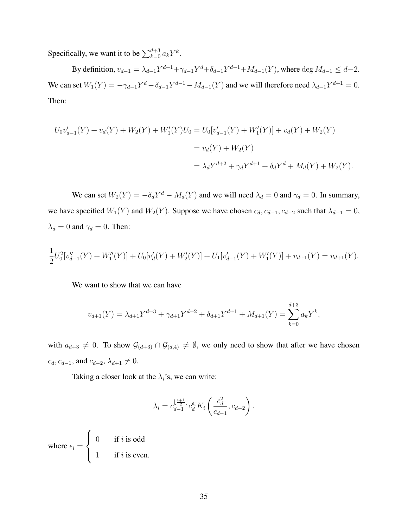Specifically, we want it to be  $\sum_{k=0}^{d+3} a_k Y^k$ .

By definition,  $v_{d-1} = \lambda_{d-1} Y^{d+1} + \gamma_{d-1} Y^d + \delta_{d-1} Y^{d-1} + M_{d-1}(Y)$ , where  $\deg M_{d-1} \leq d-2$ . We can set  $W_1(Y) = -\gamma_{d-1}Y^d - \delta_{d-1}Y^{d-1} - M_{d-1}(Y)$  and we will therefore need  $\lambda_{d-1}Y^{d+1} = 0$ . Then:

$$
U_0v'_{d-1}(Y) + v_d(Y) + W_2(Y) + W'_1(Y)U_0 = U_0[v'_{d-1}(Y) + W'_1(Y)] + v_d(Y) + W_2(Y)
$$
  
=  $v_d(Y) + W_2(Y)$   
=  $\lambda_d Y^{d+2} + \gamma_d Y^{d+1} + \delta_d Y^d + M_d(Y) + W_2(Y)$ .

We can set  $W_2(Y) = -\delta_d Y^d - M_d(Y)$  and we will need  $\lambda_d = 0$  and  $\gamma_d = 0$ . In summary, we have specified  $W_1(Y)$  and  $W_2(Y)$ . Suppose we have chosen  $c_d, c_{d-1}, c_{d-2}$  such that  $\lambda_{d-1} = 0$ ,  $\lambda_d = 0$  and  $\gamma_d = 0$ . Then:

$$
\frac{1}{2}U_0^2[v''_{d-1}(Y) + W''_1(Y)] + U_0[v'_d(Y) + W'_2(Y)] + U_1[v'_{d-1}(Y) + W'_1(Y)] + v_{d+1}(Y) = v_{d+1}(Y).
$$

We want to show that we can have

$$
v_{d+1}(Y) = \lambda_{d+1} Y^{d+3} + \gamma_{d+1} Y^{d+2} + \delta_{d+1} Y^{d+1} + M_{d+1}(Y) = \sum_{k=0}^{d+3} a_k Y^k,
$$

with  $a_{d+3} \neq 0$ . To show  $\mathcal{G}_{(d+3)} \cap \overline{\mathcal{G}_{(d,4)}} \neq \emptyset$ , we only need to show that after we have chosen  $c_d, c_{d-1}$ , and  $c_{d-2}, \lambda_{d+1} \neq 0$ .

Taking a closer look at the  $\lambda_i$ 's, we can write:

$$
\lambda_i = c_{d-1}^{\lfloor \frac{i+1}{2} \rfloor} c_d^{\epsilon_i} K_i \left( \frac{c_d^2}{c_{d-1}}, c_{d-2} \right).
$$

where  $\epsilon_i =$  $\sqrt{ }$  $\int$  $\overline{\mathcal{L}}$ 0 if i is odd 1 if i is even.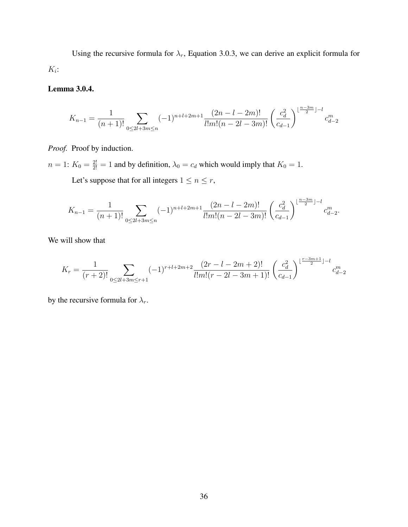Using the recursive formula for  $\lambda_r$ , Equation 3.0.3, we can derive an explicit formula for  $K_i$ :

# Lemma 3.0.4.

$$
K_{n-1} = \frac{1}{(n+1)!} \sum_{0 \le 2l+3m \le n} (-1)^{n+l+2m+1} \frac{(2n-l-2m)!}{l!m!(n-2l-3m)!} \left(\frac{c_d^2}{c_{d-1}}\right)^{\lfloor \frac{n-3m}{2} \rfloor - l} c_{d-2}^m
$$

Proof. Proof by induction.

 $n = 1$ :  $K_0 = \frac{2!}{2!} = 1$  and by definition,  $\lambda_0 = c_d$  which would imply that  $K_0 = 1$ . Let's suppose that for all integers  $1 \le n \le r$ ,

$$
K_{n-1} = \frac{1}{(n+1)!} \sum_{0 \le 2l+3m \le n} (-1)^{n+l+2m+1} \frac{(2n-l-2m)!}{l!m!(n-2l-3m)!} \left(\frac{c_d^2}{c_{d-1}}\right)^{\lfloor \frac{n-3m}{2} \rfloor - l} c_{d-2}^m.
$$

We will show that

$$
K_r = \frac{1}{(r+2)!} \sum_{0 \le 2l+3m \le r+1} (-1)^{r+l+2m+2} \frac{(2r-l-2m+2)!}{l!m!(r-2l-3m+1)!} \left(\frac{c_d^2}{c_{d-1}}\right)^{\lfloor \frac{r-3m+1}{2} \rfloor - l} c_{d-2}^m
$$

by the recursive formula for  $\lambda_r$ .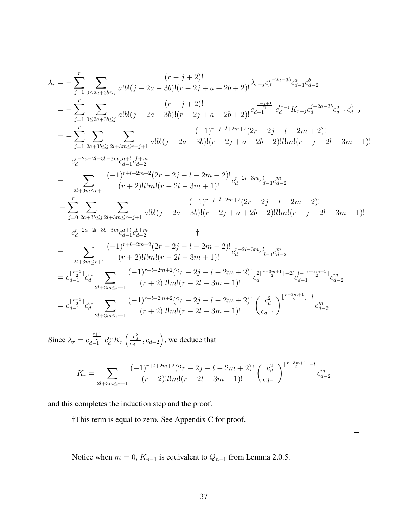$$
\begin{split} \lambda_{r}&=-\sum_{j=1}^{r}\sum_{0\leq 2a+3b\leq j}\frac{(r-j+2)!}{a!b!(j-2a-3b)!(r-2j+a+2b+2)!}\lambda_{r-j}c_{d}^{j-2a-3b}c_{d-1}^{a}c_{d-2}^{b}\\ &=\displaystyle -\sum_{j=1}^{r}\sum_{0\leq 2a+3b\leq j}\frac{(r-j+2)!}{a!b!(j-2a-3b)!(r-2j+a+2b+2)!}c_{d-1}^{1-\frac{r-j+1}{2}}c_{d}^{r-j}K_{r-j}c_{d}^{j-2a-3b}c_{d-1}^{a}c_{d-2}\\ &=\displaystyle -\sum_{j=1}^{r}\sum_{2a+3b\leq j}\sum_{2l+3m\leq r-j+1}\frac{(-1)^{r-j+1+2m+2}(2r-2j-l-2m+2)!}{a!b!(j-2a-3b)!(r-2j+a+2b+2)!l!m!(r-j-2l-3m+1)!}\\ c_{d}^{r-2a-2l-3b-3m}c_{d-1}^{a-1}c_{d-2}^{b-2b}\\ &=\displaystyle -\sum_{2l+3m\leq r+1}\frac{(-1)^{r+l+2m+2}(2r-2j-l-2m+2)!}{(r+2)!l!m!(r-2l-3m+1)!}c_{d}^{r-2l-3m}c_{d-1}c_{d-2}^{m}\\ &-\sum_{j=0}^{r}\sum_{2a+3b\leq j}\sum_{2l+3m\leq r-j+1}\frac{(-1)^{r-j+1+2m+2}(2r-2j-l-2m+2)!}{a!b!(j-2a-3b)!(r-2j+a+2b+2)!l!m!(r-j-2l-3m+1)!}\\ c_{d}^{r-2a-2l-3b-3m}c_{d-1}^{a-1}c_{d-2}^{b-2b}\\ &=\displaystyle -\sum_{2l+3m\leq r+1}\frac{(-1)^{r+l+2m+2}(2r-2j-l-2m+2)!}{(r+2)!l!m!(r-2l-3m+1)!}c_{d}^{r-2l-3m}c_{d-1}^{b}c_{d-2}^{m}\\ &=\displaystyle c_{d-1}^{\lfloor\frac{r+1}{2}\rfloor}c_{d}^{c} \
$$

Since  $\lambda_r = c_{d-1}^{\lfloor \frac{r+1}{2} \rfloor}$  $\frac{\lfloor \frac{r+1}{2} \rfloor}{d-1} c_d^{\epsilon_r} K_r \left( \frac{c_d^2}{c_{d-1}}, c_{d-2} \right)$ , we deduce that

$$
K_r = \sum_{2l+3m \le r+1} \frac{(-1)^{r+l+2m+2} (2r-2j-l-2m+2)!}{(r+2)! l! m! (r-2l-3m+1)!} \left(\frac{c_d^2}{c_{d-1}}\right)^{\lfloor \frac{r-3m+1}{2} \rfloor - l} c_{d-2}^m
$$

and this completes the induction step and the proof.

†This term is equal to zero. See Appendix C for proof.

 $\Box$ 

Notice when  $m = 0$ ,  $K_{n-1}$  is equivalent to  $Q_{n-1}$  from Lemma 2.0.5.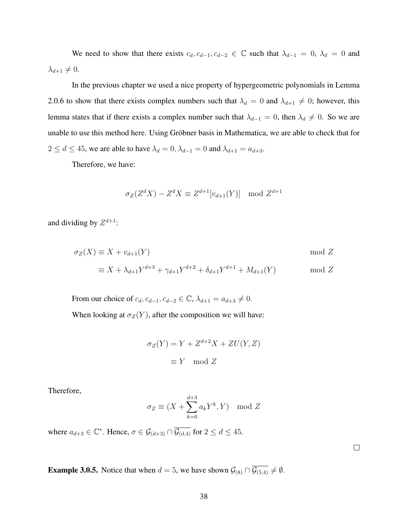We need to show that there exists  $c_d, c_{d-1}, c_{d-2} \in \mathbb{C}$  such that  $\lambda_{d-1} = 0$ ,  $\lambda_d = 0$  and  $\lambda_{d+1} \neq 0.$ 

In the previous chapter we used a nice property of hypergeometric polynomials in Lemma 2.0.6 to show that there exists complex numbers such that  $\lambda_d = 0$  and  $\lambda_{d+1} \neq 0$ ; however, this lemma states that if there exists a complex number such that  $\lambda_{d-1} = 0$ , then  $\lambda_d \neq 0$ . So we are unable to use this method here. Using Gröbner basis in Mathematica, we are able to check that for  $2 \le d \le 45$ , we are able to have  $\lambda_d = 0$ ,  $\lambda_{d-1} = 0$  and  $\lambda_{d+1} = a_{d+3}$ .

Therefore, we have:

$$
\sigma_Z(Z^d X) - Z^d X \equiv Z^{d+1}[v_{d+1}(Y)] \mod Z^{d+1}
$$

and dividing by  $Z^{d+1}$ :

$$
\sigma_Z(X) \equiv X + v_{d+1}(Y) \qquad \text{mod } Z
$$
  

$$
\equiv X + \lambda_{d+1} Y^{d+3} + \gamma_{d+1} Y^{d+2} + \delta_{d+1} Y^{d+1} + M_{d+1}(Y) \qquad \text{mod } Z
$$

From our choice of  $c_d$ ,  $c_{d-1}$ ,  $c_{d-2} \in \mathbb{C}$ ,  $\lambda_{d+1} = a_{d+3} \neq 0$ . When looking at  $\sigma_Z(Y)$ , after the composition we will have:

$$
\sigma_Z(Y) = Y + Z^{d+2}X + ZU(Y, Z)
$$

$$
\equiv Y \mod Z
$$

Therefore,

$$
\sigma_Z \equiv (X + \sum_{k=0}^{d+3} a_k Y^k, Y) \mod Z
$$

where  $a_{d+3} \in \mathbb{C}^*$ . Hence,  $\sigma \in \mathcal{G}_{(d+3)} \cap \overline{\mathcal{G}_{(d,4)}}$  for  $2 \leq d \leq 45$ .

**Example 3.0.5.** Notice that when  $d = 5$ , we have shown  $\mathcal{G}_{(8)} \cap \overline{\mathcal{G}_{(5,4)}} \neq \emptyset$ .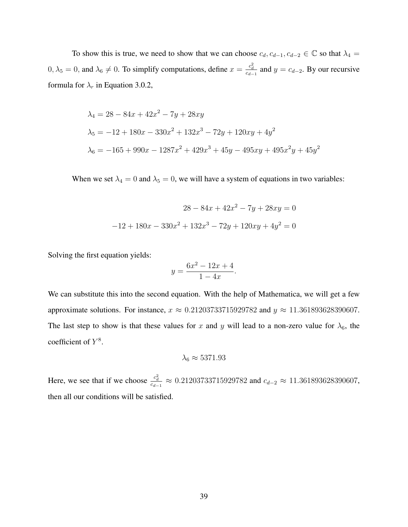To show this is true, we need to show that we can choose  $c_d, c_{d-1}, c_{d-2} \in \mathbb{C}$  so that  $\lambda_4 =$  $0, \lambda_5 = 0$ , and  $\lambda_6 \neq 0$ . To simplify computations, define  $x = \frac{c_d^2}{c_{d-1}}$  and  $y = c_{d-2}$ . By our recursive formula for  $\lambda_r$  in Equation 3.0.2,

$$
\lambda_4 = 28 - 84x + 42x^2 - 7y + 28xy
$$
  
\n
$$
\lambda_5 = -12 + 180x - 330x^2 + 132x^3 - 72y + 120xy + 4y^2
$$
  
\n
$$
\lambda_6 = -165 + 990x - 1287x^2 + 429x^3 + 45y - 495xy + 495x^2y + 45y^2
$$

When we set  $\lambda_4 = 0$  and  $\lambda_5 = 0$ , we will have a system of equations in two variables:

$$
28 - 84x + 42x^{2} - 7y + 28xy = 0
$$

$$
-12 + 180x - 330x^{2} + 132x^{3} - 72y + 120xy + 4y^{2} = 0
$$

Solving the first equation yields:

$$
y = \frac{6x^2 - 12x + 4}{1 - 4x}.
$$

We can substitute this into the second equation. With the help of Mathematica, we will get a few approximate solutions. For instance,  $x \approx 0.21203733715929782$  and  $y \approx 11.361893628390607$ . The last step to show is that these values for x and y will lead to a non-zero value for  $\lambda_6$ , the coefficient of  $Y^8$ .

$$
\lambda_6 \approx 5371.93
$$

Here, we see that if we choose  $\frac{c_d^2}{c_{d-1}} \approx 0.21203733715929782$  and  $c_{d-2} \approx 11.361893628390607$ , then all our conditions will be satisfied.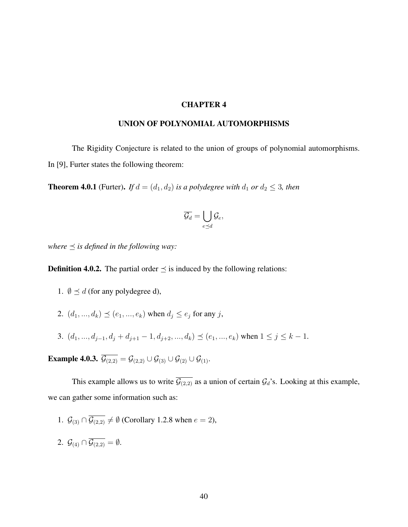#### CHAPTER 4

#### UNION OF POLYNOMIAL AUTOMORPHISMS

The Rigidity Conjecture is related to the union of groups of polynomial automorphisms. In [9], Furter states the following theorem:

**Theorem 4.0.1** (Furter). *If*  $d = (d_1, d_2)$  *is a polydegree with*  $d_1$  *or*  $d_2 \leq 3$ *, then* 

$$
\overline{\mathcal{G}_d} = \bigcup_{e \preceq d} \mathcal{G}_e,
$$

*where*  $\preceq$  *is defined in the following way:* 

**Definition 4.0.2.** The partial order  $\preceq$  is induced by the following relations:

- 1.  $\emptyset \preceq d$  (for any polydegree d),
- 2.  $(d_1, ..., d_k) \preceq (e_1, ..., e_k)$  when  $d_i \le e_i$  for any j,
- 3.  $(d_1, ..., d_{j-1}, d_j + d_{j+1} 1, d_{j+2}, ..., d_k) \preceq (e_1, ..., e_k)$  when  $1 \leq j \leq k 1$ .

**Example 4.0.3.**  $\overline{\mathcal{G}_{(2,2)}} = \mathcal{G}_{(2,2)} \cup \mathcal{G}_{(3)} \cup \mathcal{G}_{(2)} \cup \mathcal{G}_{(1)}$ .

This example allows us to write  $\overline{\mathcal{G}_{(2,2)}}$  as a union of certain  $\mathcal{G}_d$ 's. Looking at this example, we can gather some information such as:

- 1.  $\mathcal{G}_{(3)} \cap \overline{\mathcal{G}_{(2,2)}} \neq \emptyset$  (Corollary 1.2.8 when  $e = 2$ ),
- 2.  $\mathcal{G}_{(4)} \cap \overline{\mathcal{G}_{(2,2)}} = \emptyset$ .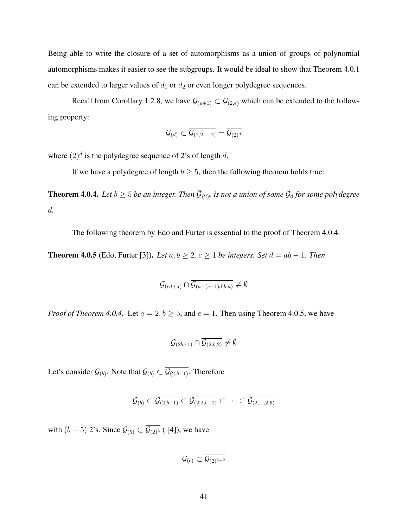Being able to write the closure of a set of automorphisms as a union of groups of polynomial automorphisms makes it easier to see the subgroups. It would be ideal to show that Theorem 4.0.1 can be extended to larger values of  $d_1$  or  $d_2$  or even longer polydegree sequences.

Recall from Corollary 1.2.8, we have  $\mathcal{G}_{(e+1)} \subset \overline{\mathcal{G}_{(2,e)}}$  which can be extended to the following property:

$$
\mathcal{G}_{(d)} \subset \overline{\mathcal{G}_{(2,2,...,2)}} = \overline{\mathcal{G}_{(2)^d}}
$$

where  $(2)^d$  is the polydegree sequence of 2's of length d.

If we have a polydegree of length  $b > 5$ , then the following theorem holds true:

**Theorem 4.0.4.** *Let*  $b \ge 5$  *be an integer. Then*  $\overline{\mathcal{G}}_{(2)^b}$  *is not a union of some*  $\mathcal{G}_d$  *for some polydegree* d*.*

The following theorem by Edo and Furter is essential to the proof of Theorem 4.0.4.

**Theorem 4.0.5** (Edo, Furter [3]). *Let*  $a, b \ge 2$ ,  $c \ge 1$  *be integers. Set*  $d = ab - 1$ *. Then* 

$$
\mathcal{G}_{(cd+a)} \cap \overline{\mathcal{G}_{(a+(c-1)d,b,a)}} \neq \emptyset
$$

*Proof of Theorem 4.0.4.* Let  $a = 2, b \ge 5$ , and  $c = 1$ . Then using Theorem 4.0.5, we have

$$
\mathcal{G}_{(2b+1)} \cap \overline{\mathcal{G}_{(2,b,2)}} \neq \emptyset
$$

Let's consider  $\mathcal{G}_{(b)}$ . Note that  $\mathcal{G}_{(b)} \subset \mathcal{G}_{(2,b-1)}$ . Therefore

$$
\mathcal{G}_{(b)} \subset \overline{\mathcal{G}_{(2,b-1)}} \subset \overline{\mathcal{G}_{(2,2,b-2)}} \subset \cdots \subset \overline{\mathcal{G}_{(2,\ldots,2,5)}}
$$

with  $(b-5)$  2's. Since  $\mathcal{G}_{(5)} \subset \overline{\mathcal{G}_{(2)^3}}$  ([4]), we have

 $\mathcal{G}_{(b)} \subset \overline{\mathcal{G}_{(2)^{b-2}}}$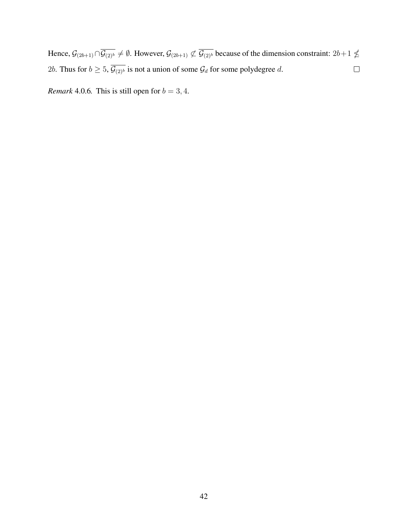Hence,  $\mathcal{G}_{(2b+1)} \cap \overline{\mathcal{G}_{(2)^b}} \neq \emptyset$ . However,  $\mathcal{G}_{(2b+1)} \not\subset \overline{\mathcal{G}_{(2)^b}}$  because of the dimension constraint:  $2b+1 \nleq$ 2b. Thus for  $b \ge 5$ ,  $\overline{\mathcal{G}_{(2)^b}}$  is not a union of some  $\mathcal{G}_d$  for some polydegree d.  $\Box$ 

*Remark* 4.0.6*.* This is still open for  $b = 3, 4$ *.*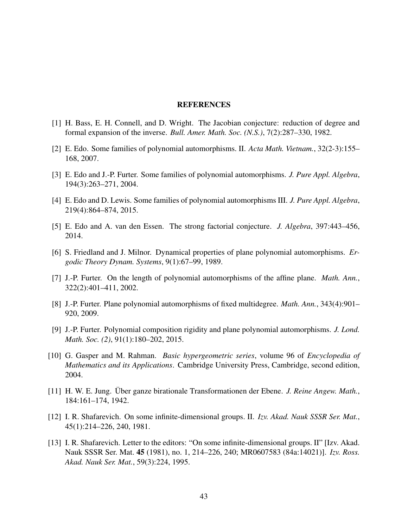#### REFERENCES

- [1] H. Bass, E. H. Connell, and D. Wright. The Jacobian conjecture: reduction of degree and formal expansion of the inverse. *Bull. Amer. Math. Soc. (N.S.)*, 7(2):287–330, 1982.
- [2] E. Edo. Some families of polynomial automorphisms. II. *Acta Math. Vietnam.*, 32(2-3):155– 168, 2007.
- [3] E. Edo and J.-P. Furter. Some families of polynomial automorphisms. *J. Pure Appl. Algebra*, 194(3):263–271, 2004.
- [4] E. Edo and D. Lewis. Some families of polynomial automorphisms III. *J. Pure Appl. Algebra*, 219(4):864–874, 2015.
- [5] E. Edo and A. van den Essen. The strong factorial conjecture. *J. Algebra*, 397:443–456, 2014.
- [6] S. Friedland and J. Milnor. Dynamical properties of plane polynomial automorphisms. *Ergodic Theory Dynam. Systems*, 9(1):67–99, 1989.
- [7] J.-P. Furter. On the length of polynomial automorphisms of the affine plane. *Math. Ann.*, 322(2):401–411, 2002.
- [8] J.-P. Furter. Plane polynomial automorphisms of fixed multidegree. *Math. Ann.*, 343(4):901– 920, 2009.
- [9] J.-P. Furter. Polynomial composition rigidity and plane polynomial automorphisms. *J. Lond. Math. Soc. (2)*, 91(1):180–202, 2015.
- [10] G. Gasper and M. Rahman. *Basic hypergeometric series*, volume 96 of *Encyclopedia of Mathematics and its Applications*. Cambridge University Press, Cambridge, second edition, 2004.
- [11] H. W. E. Jung. Über ganze birationale Transformationen der Ebene. *J. Reine Angew. Math.*, 184:161–174, 1942.
- [12] I. R. Shafarevich. On some infinite-dimensional groups. II. *Izv. Akad. Nauk SSSR Ser. Mat.*, 45(1):214–226, 240, 1981.
- [13] I. R. Shafarevich. Letter to the editors: "On some infinite-dimensional groups. II" [Izv. Akad. Nauk SSSR Ser. Mat. 45 (1981), no. 1, 214–226, 240; MR0607583 (84a:14021)]. *Izv. Ross. Akad. Nauk Ser. Mat.*, 59(3):224, 1995.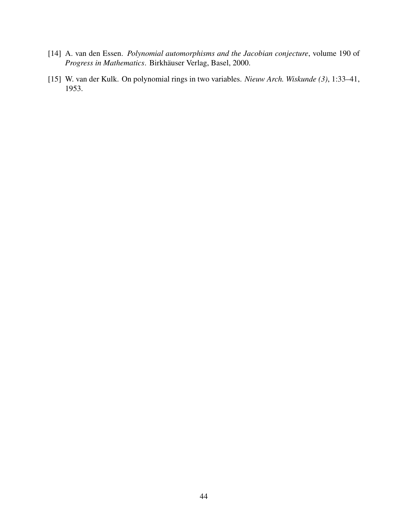- [14] A. van den Essen. *Polynomial automorphisms and the Jacobian conjecture*, volume 190 of *Progress in Mathematics*. Birkhäuser Verlag, Basel, 2000.
- [15] W. van der Kulk. On polynomial rings in two variables. *Nieuw Arch. Wiskunde (3)*, 1:33–41, 1953.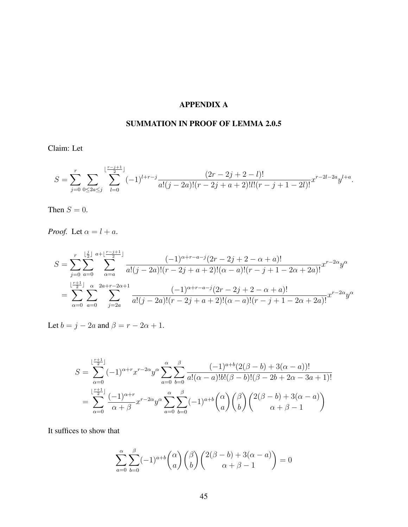# APPENDIX A

# SUMMATION IN PROOF OF LEMMA 2.0.5

Claim: Let

$$
S = \sum_{j=0}^{r} \sum_{0 \le 2a \le j} \sum_{l=0}^{\lfloor \frac{r-j+1}{2} \rfloor} (-1)^{l+r-j} \frac{(2r-2j+2-l)!}{a!(j-2a)!(r-2j+a+2)!l!(r-j+1-2l)!} x^{r-2l-2a} y^{l+a}.
$$

Then  $S = 0$ .

*Proof.* Let  $\alpha = l + a$ .

$$
S = \sum_{j=0}^{r} \sum_{a=0}^{\lfloor \frac{j}{2} \rfloor} \sum_{\alpha=a}^{a+\lfloor \frac{r-j+1}{2} \rfloor} \frac{(-1)^{\alpha+r-a-j} (2r-2j+2-\alpha+a)!}{a!(j-2a)!(r-2j+a+2)!(\alpha-a)!(r-j+1-2\alpha+2a)!} x^{r-2\alpha} y^{\alpha}
$$
  
= 
$$
\sum_{\alpha=0}^{\lfloor \frac{r+1}{2} \rfloor} \sum_{a=0}^{\alpha} \sum_{j=2a}^{2a+r-2\alpha+1} \frac{(-1)^{\alpha+r-a-j} (2r-2j+2-\alpha+a)!}{a!(j-2a)!(r-2j+a+2)!(\alpha-a)!(r-j+1-2\alpha+2a)!} x^{r-2\alpha} y^{\alpha}
$$

Let  $b = j - 2a$  and  $\beta = r - 2\alpha + 1$ .

$$
S = \sum_{\alpha=0}^{\lfloor \frac{r+1}{2} \rfloor} (-1)^{\alpha+r} x^{r-2\alpha} y^{\alpha} \sum_{a=0}^{\alpha} \sum_{b=0}^{\beta} \frac{(-1)^{a+b} (2(\beta-b) + 3(\alpha-a))!}{a!(\alpha-a)!b!(\beta-b)!(\beta-2b+2\alpha-3a+1)!}
$$
  
= 
$$
\sum_{\alpha=0}^{\lfloor \frac{r+1}{2} \rfloor} \frac{(-1)^{\alpha+r}}{\alpha+\beta} x^{r-2\alpha} y^{\alpha} \sum_{a=0}^{\alpha} \sum_{b=0}^{\beta} (-1)^{a+b} {\alpha \choose a} {\beta \choose b} {\binom{2(\beta-b)+3(\alpha-a)}{\alpha+\beta-1}}
$$

It suffices to show that

$$
\sum_{a=0}^{\alpha} \sum_{b=0}^{\beta} (-1)^{a+b} \binom{\alpha}{a} \binom{\beta}{b} \binom{2(\beta-b)+3(\alpha-a)}{\alpha+\beta-1} = 0
$$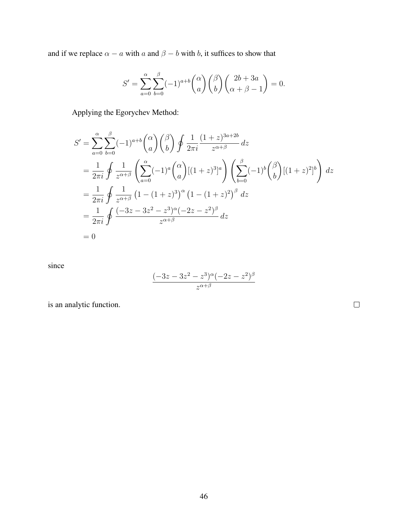and if we replace  $\alpha - a$  with a and  $\beta - b$  with b, it suffices to show that

$$
S' = \sum_{a=0}^{\alpha} \sum_{b=0}^{\beta} (-1)^{a+b} \binom{\alpha}{a} \binom{\beta}{b} \binom{2b+3a}{\alpha+\beta-1} = 0.
$$

Applying the Egorychev Method:

$$
S' = \sum_{a=0}^{\alpha} \sum_{b=0}^{\beta} (-1)^{a+b} \binom{\alpha}{a} \binom{\beta}{b} \oint \frac{1}{2\pi i} \frac{(1+z)^{3a+2b}}{z^{\alpha+\beta}} dz
$$
  
=  $\frac{1}{2\pi i} \oint \frac{1}{z^{\alpha+\beta}} \left( \sum_{a=0}^{\alpha} (-1)^a \binom{\alpha}{a} [(1+z)^3]^a \right) \left( \sum_{b=0}^{\beta} (-1)^b \binom{\beta}{b} [(1+z)^2]^b \right) dz$   
=  $\frac{1}{2\pi i} \oint \frac{1}{z^{\alpha+\beta}} (1 - (1+z)^3)^{\alpha} (1 - (1+z)^2)^{\beta} dz$   
=  $\frac{1}{2\pi i} \oint \frac{(-3z - 3z^2 - z^3)^{\alpha} (-2z - z^2)^{\beta}}{z^{\alpha+\beta}} dz$   
= 0

since

$$
\frac{(-3z-3z^2-z^3)^{\alpha}(-2z-z^2)^{\beta}}{z^{\alpha+\beta}}
$$

is an analytic function.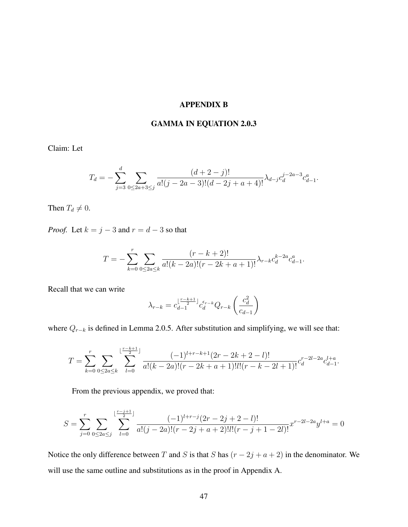#### APPENDIX B

#### GAMMA IN EQUATION 2.0.3

Claim: Let

$$
T_d = -\sum_{j=3}^d \sum_{0 \le 2a+3 \le j} \frac{(d+2-j)!}{a!(j-2a-3)!(d-2j+a+4)!} \lambda_{d-j} c_d^{j-2a-3} c_{d-1}^a.
$$

Then  $T_d \neq 0$ .

*Proof.* Let  $k = j - 3$  and  $r = d - 3$  so that

$$
T = -\sum_{k=0}^{r} \sum_{0 \le 2a \le k} \frac{(r-k+2)!}{a!(k-2a)!(r-2k+a+1)!} \lambda_{r-k} c_d^{k-2a} c_{d-1}^a.
$$

Recall that we can write

$$
\lambda_{r-k}=c_{d-1}^{\lfloor\frac{r-k+1}{2}\rfloor}c_d^{\epsilon_{r-k}}Q_{r-k}\left(\frac{c_d^2}{c_{d-1}}\right)
$$

where  $Q_{r-k}$  is defined in Lemma 2.0.5. After substitution and simplifying, we will see that:

$$
T = \sum_{k=0}^{r} \sum_{0 \le 2a \le k} \sum_{l=0}^{\lfloor \frac{r-k+1}{2} \rfloor} \frac{(-1)^{l+r-k+1} (2r-2k+2-l)!}{a! (k-2a)! (r-2k+a+1)! l! (r-k-2l+1)!} c_d^{r-2l-2a} c_{d-1}^{l+a}.
$$

From the previous appendix, we proved that:

$$
S = \sum_{j=0}^{r} \sum_{0 \le 2a \le j} \sum_{l=0}^{\lfloor \frac{r-j+1}{2} \rfloor} \frac{(-1)^{l+r-j} (2r-2j+2-l)!}{a!(j-2a)!(r-2j+a+2)!l!(r-j+1-2l)!} x^{r-2l-2a} y^{l+a} = 0
$$

Notice the only difference between T and S is that S has  $(r - 2j + a + 2)$  in the denominator. We will use the same outline and substitutions as in the proof in Appendix A.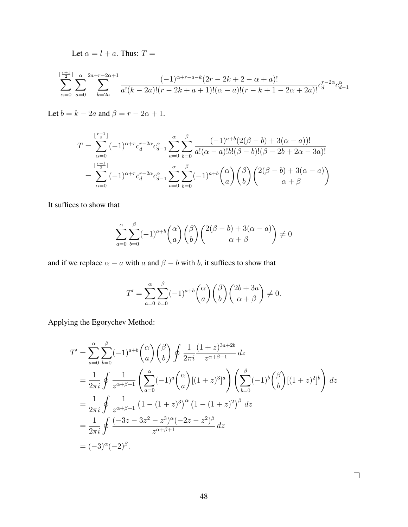Let  $\alpha = l + a$ . Thus:  $T =$ 

$$
\sum_{\alpha=0}^{\lfloor \frac{r+1}{2} \rfloor} \sum_{a=0}^{\alpha} \sum_{k=2a}^{2a+r-2\alpha+1} \frac{(-1)^{\alpha+r-a-k}(2r-2k+2-\alpha+a)!}{a!(k-2a)!(r-2k+a+1)!(\alpha-a)!(r-k+1-2\alpha+2a)!} c_d^{r-2\alpha} c_{d-1}^{\alpha}
$$

Let  $b = k - 2a$  and  $\beta = r - 2\alpha + 1$ .

$$
T = \sum_{\alpha=0}^{\lfloor \frac{r+1}{2} \rfloor} (-1)^{\alpha+r} c_d^{r-2\alpha} c_{d-1}^{\alpha} \sum_{a=0}^{\alpha} \sum_{b=0}^{\beta} \frac{(-1)^{a+b} (2(\beta-b) + 3(\alpha-a))!}{a!(\alpha-a)!b!(\beta-b)!(\beta-2b+2\alpha-3a)!}
$$
  
= 
$$
\sum_{\alpha=0}^{\lfloor \frac{r+1}{2} \rfloor} (-1)^{\alpha+r} c_d^{r-2\alpha} c_{d-1}^{\alpha} \sum_{a=0}^{\alpha} \sum_{b=0}^{\beta} (-1)^{a+b} {\alpha \choose a} {\beta \choose b} {\binom{2(\beta-b)+3(\alpha-a)}{\alpha+\beta}}
$$

It suffices to show that

$$
\sum_{a=0}^{\alpha} \sum_{b=0}^{\beta} (-1)^{a+b} \binom{\alpha}{a} \binom{\beta}{b} \binom{2(\beta-b)+3(\alpha-a)}{\alpha+\beta} \neq 0
$$

and if we replace  $\alpha - a$  with a and  $\beta - b$  with b, it suffices to show that

$$
T' = \sum_{a=0}^{\alpha} \sum_{b=0}^{\beta} (-1)^{a+b} \binom{\alpha}{a} \binom{\beta}{b} \binom{2b+3a}{\alpha+\beta} \neq 0.
$$

Applying the Egorychev Method:

$$
T' = \sum_{a=0}^{\alpha} \sum_{b=0}^{\beta} (-1)^{a+b} \binom{\alpha}{a} \binom{\beta}{b} \oint \frac{1}{2\pi i} \frac{(1+z)^{3a+2b}}{z^{\alpha+\beta+1}} dz
$$
  
\n
$$
= \frac{1}{2\pi i} \oint \frac{1}{z^{\alpha+\beta+1}} \left( \sum_{a=0}^{\alpha} (-1)^a \binom{\alpha}{a} [(1+z)^3]^a \right) \left( \sum_{b=0}^{\beta} (-1)^b \binom{\beta}{b} [(1+z)^2]^b \right) dz
$$
  
\n
$$
= \frac{1}{2\pi i} \oint \frac{1}{z^{\alpha+\beta+1}} (1 - (1+z)^3)^{\alpha} (1 - (1+z)^2)^{\beta} dz
$$
  
\n
$$
= \frac{1}{2\pi i} \oint \frac{(-3z - 3z^2 - z^3)^{\alpha} (-2z - z^2)^{\beta}}{z^{\alpha+\beta+1}} dz
$$
  
\n
$$
= (-3)^{\alpha} (-2)^{\beta}.
$$

 $\Box$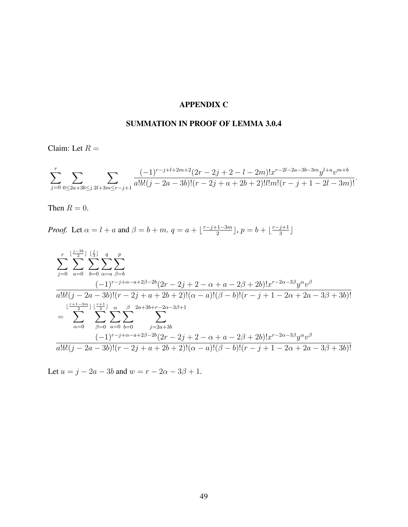## APPENDIX C

# SUMMATION IN PROOF OF LEMMA 3.0.4

Claim: Let  $R =$ 

$$
\sum_{j=0}^{r} \sum_{0 \le 2a+3b \le j} \sum_{2l+3m \le r-j+1} \frac{(-1)^{r-j+l+2m+2} (2r-2j+2-l-2m)! x^{r-2l-2a-3b-3m} y^{l+a} v^{m+b}}{a!b! (j-2a-3b)!(r-2j+a+2b+2)! l! m! (r-j+1-2l-3m)!}.
$$

Then  $R = 0$ .

*Proof.* Let  $\alpha = l + a$  and  $\beta = b + m$ .  $q = a + \frac{r-j+1-3m}{2}$  $\lfloor \frac{n-3m}{2} \rfloor$ ,  $p = b + \lfloor \frac{n-j+1}{3} \rfloor$  $rac{j+1}{3}$ 

$$
\sum_{j=0}^{r} \sum_{a=0}^{\lfloor \frac{j-3b}{2} \rfloor} \sum_{b=0}^{\lfloor \frac{j}{3} \rfloor} \sum_{\alpha=a}^{q} \sum_{\beta=b}^{p}
$$
\n
$$
\frac{(-1)^{r-j+\alpha-a+2\beta-2b}(2r-2j+2-\alpha+a-2\beta+2b)!x^{r-2\alpha-3\beta}y^{\alpha}v^{\beta}}{a!b!(j-2a-3b)!(r-2j+a+2b+2)!(\alpha-a)!(\beta-b)!(r-j+1-2\alpha+2a-3\beta+3b)!}
$$
\n
$$
= \sum_{\alpha=0}^{\lfloor \frac{r+1-3m}{2} \rfloor} \sum_{\beta=0}^{\lfloor \frac{r+1}{3} \rfloor} \sum_{a=0}^{\alpha} \sum_{b=0}^{\beta} \sum_{j=2a+3b}^{2a+3b+r-2\alpha-3\beta+1} \sum_{j=2a+3b}^{2a+3b+r-2\alpha-3\beta+1} \frac{(-1)^{r-j+\alpha-a+2\beta-2b}(2r-2j+2-\alpha+a-2\beta+2b)!x^{r-2\alpha-3\beta}y^{\alpha}v^{\beta}}{a!b!(j-2a-3b)!(r-2j+a+2b+2)!(\alpha-a)!(\beta-b)!(r-j+1-2\alpha+2a-3\beta+3b)!}
$$

Let  $u = j - 2a - 3b$  and  $w = r - 2\alpha - 3\beta + 1$ .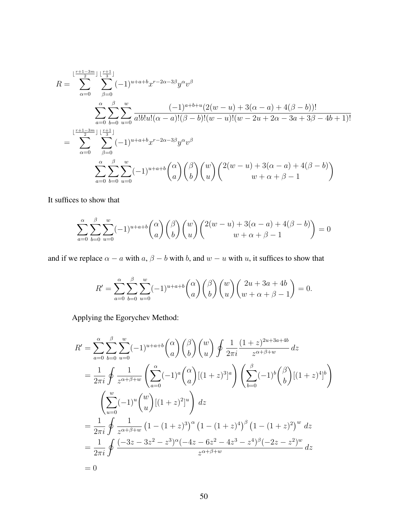$$
R = \sum_{\alpha=0}^{\lfloor \frac{r+1-3m}{2} \rfloor} \sum_{\beta=0}^{\lfloor \frac{r+1}{3} \rfloor} (-1)^{u+a+b} x^{r-2\alpha-3\beta} y^{\alpha} v^{\beta}
$$
  

$$
\sum_{a=0}^{\alpha} \sum_{b=0}^{\beta} \sum_{u=0}^{w} \frac{(-1)^{a+b+u} (2(w-u) + 3(\alpha-a) + 4(\beta-b))!}{a! b! u! (\alpha-a)!(\beta-b)!(w-u)!(w-2u+2\alpha-3a+3\beta-4b+1)!}
$$
  

$$
= \sum_{\alpha=0}^{\lfloor \frac{r+1-3m}{2} \rfloor} \sum_{\beta=0}^{\lfloor \frac{r+1}{3} \rfloor} (-1)^{u+a+b} x^{r-2\alpha-3\beta} y^{\alpha} v^{\beta}
$$
  

$$
\sum_{a=0}^{\alpha} \sum_{b=0}^{\beta} \sum_{u=0}^{w} (-1)^{u+a+b} {\binom{\alpha}{a}} {\binom{\beta}{b}} {\binom{w}{u}} {\binom{2(w-u)+3(\alpha-a)+4(\beta-b)}{w+\alpha+\beta-1}}
$$

It suffices to show that

$$
\sum_{a=0}^{\alpha} \sum_{b=0}^{\beta} \sum_{u=0}^{w} (-1)^{u+a+b} \binom{\alpha}{a} \binom{\beta}{b} \binom{w}{u} \binom{2(w-u)+3(\alpha-a)+4(\beta-b)}{w+\alpha+\beta-1} = 0
$$

and if we replace  $\alpha - a$  with  $a, \beta - b$  with b, and  $w - u$  with u, it suffices to show that

$$
R' = \sum_{a=0}^{\alpha} \sum_{b=0}^{\beta} \sum_{u=0}^{w} (-1)^{u+a+b} \binom{\alpha}{a} \binom{\beta}{b} \binom{w}{u} \binom{2u+3a+4b}{w+\alpha+\beta-1} = 0.
$$

Applying the Egorychev Method:

$$
R' = \sum_{a=0}^{\infty} \sum_{b=0}^{\beta} \sum_{u=0}^{w} (-1)^{u+a+b} \binom{\alpha}{a} \binom{\beta}{b} \binom{w}{u} \oint \frac{1}{2\pi i} \frac{(1+z)^{2u+3a+4b}}{z^{\alpha+\beta+w}} dz
$$
  
\n
$$
= \frac{1}{2\pi i} \oint \frac{1}{z^{\alpha+\beta+w}} \left( \sum_{a=0}^{\alpha} (-1)^a \binom{\alpha}{a} [(1+z)^3]^a \right) \left( \sum_{b=0}^{\beta} (-1)^b \binom{\beta}{b} [(1+z)^4]^b \right)
$$
  
\n
$$
\left( \sum_{u=0}^w (-1)^u \binom{w}{u} [(1+z)^2]^u \right) dz
$$
  
\n
$$
= \frac{1}{2\pi i} \oint \frac{1}{z^{\alpha+\beta+w}} (1 - (1+z)^3)^{\alpha} (1 - (1+z)^4)^{\beta} (1 - (1+z)^2)^w dz
$$
  
\n
$$
= \frac{1}{2\pi i} \oint \frac{(-3z - 3z^2 - z^3)^{\alpha} (-4z - 6z^2 - 4z^3 - z^4)^{\beta} (-2z - z^2)^w}{z^{\alpha+\beta+w}} dz
$$
  
\n= 0